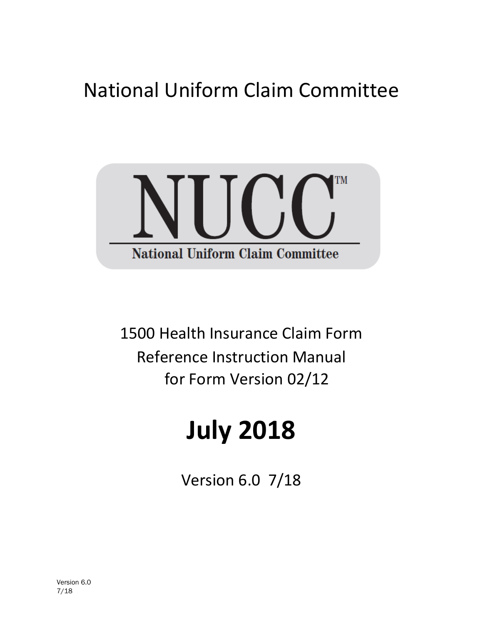## National Uniform Claim Committee



1500 Health Insurance Claim Form Reference Instruction Manual for Form Version 02/12

# **July 2018**

Version 6.0 7/18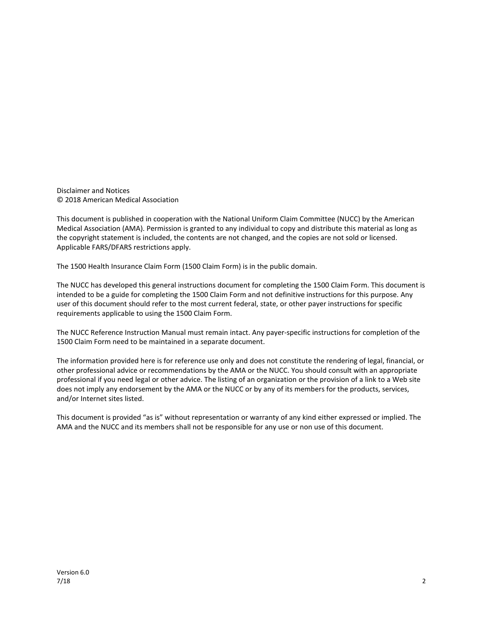Disclaimer and Notices © 2018 American Medical Association

This document is published in cooperation with the National Uniform Claim Committee (NUCC) by the American Medical Association (AMA). Permission is granted to any individual to copy and distribute this material as long as the copyright statement is included, the contents are not changed, and the copies are not sold or licensed. Applicable FARS/DFARS restrictions apply.

The 1500 Health Insurance Claim Form (1500 Claim Form) is in the public domain.

The NUCC has developed this general instructions document for completing the 1500 Claim Form. This document is intended to be a guide for completing the 1500 Claim Form and not definitive instructions for this purpose. Any user of this document should refer to the most current federal, state, or other payer instructions for specific requirements applicable to using the 1500 Claim Form.

The NUCC Reference Instruction Manual must remain intact. Any payer-specific instructions for completion of the 1500 Claim Form need to be maintained in a separate document.

The information provided here is for reference use only and does not constitute the rendering of legal, financial, or other professional advice or recommendations by the AMA or the NUCC. You should consult with an appropriate professional if you need legal or other advice. The listing of an organization or the provision of a link to a Web site does not imply any endorsement by the AMA or the NUCC or by any of its members for the products, services, and/or Internet sites listed.

This document is provided "as is" without representation or warranty of any kind either expressed or implied. The AMA and the NUCC and its members shall not be responsible for any use or non use of this document.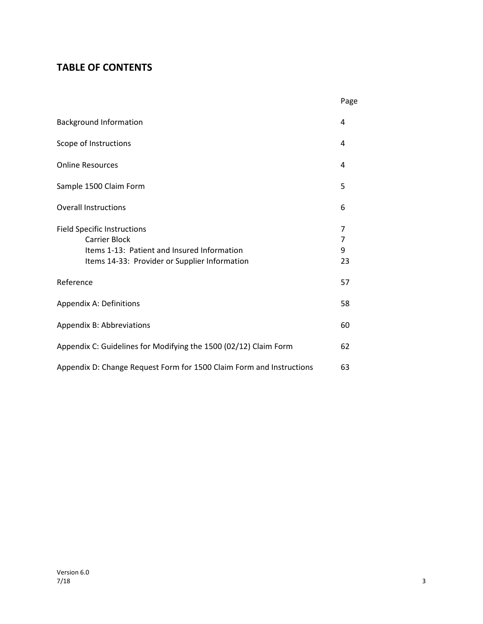## **TABLE OF CONTENTS**

|                                                                                                                                                            | Page              |
|------------------------------------------------------------------------------------------------------------------------------------------------------------|-------------------|
| <b>Background Information</b>                                                                                                                              | 4                 |
| Scope of Instructions                                                                                                                                      | 4                 |
| <b>Online Resources</b>                                                                                                                                    | 4                 |
| Sample 1500 Claim Form                                                                                                                                     | 5                 |
| <b>Overall Instructions</b>                                                                                                                                | 6                 |
| <b>Field Specific Instructions</b><br><b>Carrier Block</b><br>Items 1-13: Patient and Insured Information<br>Items 14-33: Provider or Supplier Information | 7<br>7<br>9<br>23 |
| Reference                                                                                                                                                  | 57                |
| Appendix A: Definitions                                                                                                                                    | 58                |
| Appendix B: Abbreviations                                                                                                                                  | 60                |
| Appendix C: Guidelines for Modifying the 1500 (02/12) Claim Form                                                                                           | 62                |
| Appendix D: Change Request Form for 1500 Claim Form and Instructions                                                                                       | 63                |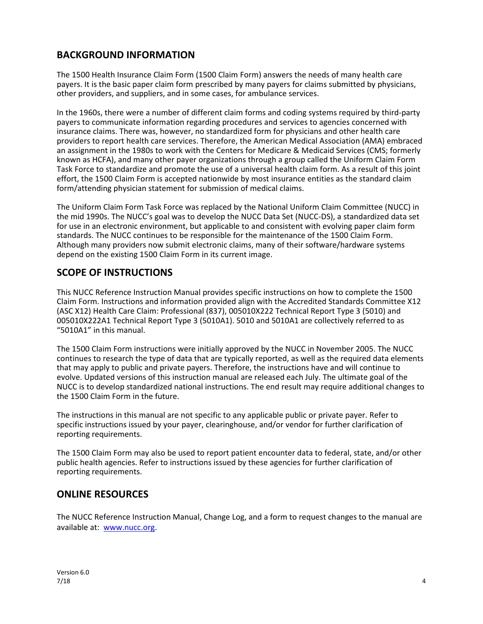## **BACKGROUND INFORMATION**

The 1500 Health Insurance Claim Form (1500 Claim Form) answers the needs of many health care payers. It is the basic paper claim form prescribed by many payers for claims submitted by physicians, other providers, and suppliers, and in some cases, for ambulance services.

In the 1960s, there were a number of different claim forms and coding systems required by third-party payers to communicate information regarding procedures and services to agencies concerned with insurance claims. There was, however, no standardized form for physicians and other health care providers to report health care services. Therefore, the American Medical Association (AMA) embraced an assignment in the 1980s to work with the Centers for Medicare & Medicaid Services (CMS; formerly known as HCFA), and many other payer organizations through a group called the Uniform Claim Form Task Force to standardize and promote the use of a universal health claim form. As a result of this joint effort, the 1500 Claim Form is accepted nationwide by most insurance entities as the standard claim form/attending physician statement for submission of medical claims.

The Uniform Claim Form Task Force was replaced by the National Uniform Claim Committee (NUCC) in the mid 1990s. The NUCC's goal was to develop the NUCC Data Set (NUCC-DS), a standardized data set for use in an electronic environment, but applicable to and consistent with evolving paper claim form standards. The NUCC continues to be responsible for the maintenance of the 1500 Claim Form. Although many providers now submit electronic claims, many of their software/hardware systems depend on the existing 1500 Claim Form in its current image.

## **SCOPE OF INSTRUCTIONS**

This NUCC Reference Instruction Manual provides specific instructions on how to complete the 1500 Claim Form. Instructions and information provided align with the Accredited Standards Committee X12 (ASC X12) Health Care Claim: Professional (837), 005010X222 Technical Report Type 3 (5010) and 005010X222A1 Technical Report Type 3 (5010A1). 5010 and 5010A1 are collectively referred to as "5010A1" in this manual.

The 1500 Claim Form instructions were initially approved by the NUCC in November 2005. The NUCC continues to research the type of data that are typically reported, as well as the required data elements that may apply to public and private payers. Therefore, the instructions have and will continue to evolve. Updated versions of this instruction manual are released each July. The ultimate goal of the NUCC is to develop standardized national instructions. The end result may require additional changes to the 1500 Claim Form in the future.

The instructions in this manual are not specific to any applicable public or private payer. Refer to specific instructions issued by your payer, clearinghouse, and/or vendor for further clarification of reporting requirements.

The 1500 Claim Form may also be used to report patient encounter data to federal, state, and/or other public health agencies. Refer to instructions issued by these agencies for further clarification of reporting requirements.

## **ONLINE RESOURCES**

The NUCC Reference Instruction Manual, Change Log, and a form to request changes to the manual are available at: [www.nucc.org.](http://www.nucc.org/)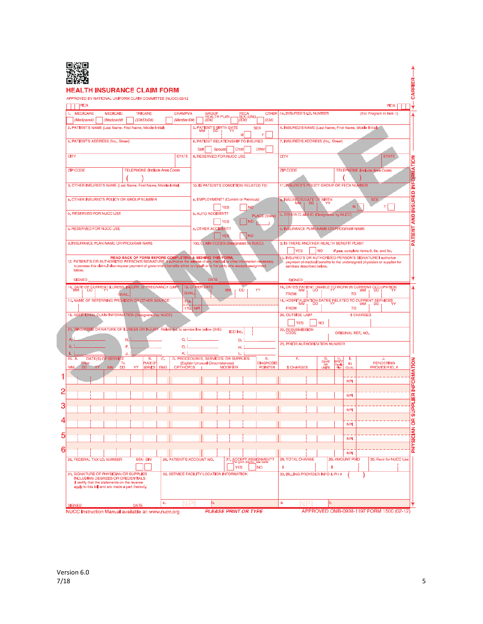

#### **HEALTH INSURANCE CLAIM FORM**

#### APPROVED BY NATIONAL UNIFORM CLAIM COMMITTEE (NUCC) 02/12

| PICA                                                                                                                                                                                                                                                           |                                                    |                                      |                     |            |                                                          |            |                       |                                        |            |                                  |                        |                                                                         |                                                                          |             |                               |                                       |                         | <b>PICA</b>           |
|----------------------------------------------------------------------------------------------------------------------------------------------------------------------------------------------------------------------------------------------------------------|----------------------------------------------------|--------------------------------------|---------------------|------------|----------------------------------------------------------|------------|-----------------------|----------------------------------------|------------|----------------------------------|------------------------|-------------------------------------------------------------------------|--------------------------------------------------------------------------|-------------|-------------------------------|---------------------------------------|-------------------------|-----------------------|
| <b>MEDICARE</b><br>1.                                                                                                                                                                                                                                          | <b>MEDICAID</b>                                    |                                      | <b>TRICARE</b>      |            | CHAMPVA                                                  |            |                       | GROUP<br>HEALTH PLAN                   |            | FECA<br>BLK LUNG<br><i>(ID#)</i> |                        | OTHER   1a. INSURED'S LD. NUMBER                                        |                                                                          |             |                               |                                       | (For Program in Item 1) |                       |
| (Medicare#)<br>2. PATIENT'S NAME (Last Name, First Name, Middle Initial)                                                                                                                                                                                       | (Medicaid#)                                        |                                      | (ID#/DoD#)          |            | (Member ID#)                                             |            | (ID#)                 | 3. PATIENT'S BIRTH DATE                |            |                                  | (1D#)<br><b>SEX</b>    | 4. INSURED'S NAME (Last Name, First Name, Middle Initial)               |                                                                          |             |                               |                                       |                         |                       |
|                                                                                                                                                                                                                                                                |                                                    |                                      |                     |            |                                                          |            |                       |                                        |            |                                  | F                      |                                                                         |                                                                          |             |                               |                                       |                         |                       |
| 5. PATIENT'S ADDRESS (No., Street)                                                                                                                                                                                                                             |                                                    |                                      |                     |            |                                                          |            |                       | 6. PATIENT RELATIONSHIP TO INSURED     |            |                                  |                        | 7. INSURED'S ADDRESS (No., Street)                                      |                                                                          |             |                               |                                       |                         |                       |
| CITY                                                                                                                                                                                                                                                           |                                                    |                                      |                     |            | <b>STATE</b>                                             | Sell       |                       | Spouse<br>8. RESERVED FOR NUCC USE     | Child      |                                  | Other                  | CITY                                                                    |                                                                          |             |                               |                                       |                         | <b>STATE</b>          |
|                                                                                                                                                                                                                                                                |                                                    |                                      |                     |            |                                                          |            |                       |                                        |            |                                  |                        |                                                                         |                                                                          |             |                               |                                       |                         |                       |
| <b>ZIP CODE</b>                                                                                                                                                                                                                                                |                                                    | <b>TELEPHONE</b> (Include Area Code) |                     |            |                                                          |            |                       |                                        |            |                                  |                        | <b>ZIP CODE</b>                                                         |                                                                          |             |                               | <b>TELEPHONE</b> (Include Area Code)  |                         |                       |
| 9. OTHER INSURED'S NAME (Last Name, First Name, Middle Initial)                                                                                                                                                                                                |                                                    |                                      |                     |            |                                                          |            |                       | 10. IS PATIENT'S CONDITION RELATED TO: |            |                                  |                        | 11. INSURED'S POLICY GROUP OR FECA NUMBER                               |                                                                          |             |                               |                                       |                         |                       |
|                                                                                                                                                                                                                                                                |                                                    |                                      |                     |            |                                                          |            |                       |                                        |            |                                  |                        |                                                                         |                                                                          |             |                               |                                       |                         |                       |
| a, OTHER INSURED'S POLICY OR GROUP NUMBER                                                                                                                                                                                                                      |                                                    |                                      |                     |            |                                                          |            |                       | a. EMPLOYMENT? (Current or Previous)   |            |                                  |                        | a. INSURED'S DATE OF BIRTH                                              |                                                                          |             |                               |                                       | <b>SEX</b>              |                       |
| b. RESERVED FOR NUCC USE                                                                                                                                                                                                                                       |                                                    |                                      |                     |            |                                                          |            |                       | ΈS<br>b. AUTO ACCIDENT?                |            | NO                               |                        |                                                                         |                                                                          |             | M                             |                                       | F                       |                       |
|                                                                                                                                                                                                                                                                |                                                    |                                      |                     |            |                                                          |            |                       | YES                                    |            | I NO                             | <b>PLACE (State)</b>   | b. OTHER CLAIM ID (Designated by NUCC)                                  |                                                                          |             |                               |                                       |                         |                       |
| c. RESERVED FOR NUCC USE                                                                                                                                                                                                                                       |                                                    |                                      |                     |            |                                                          |            |                       | c. OTHER ACCIDENT?                     |            |                                  |                        | c. INSURANCE PLAN NAME OR PROGRAM NAME                                  |                                                                          |             |                               |                                       |                         |                       |
|                                                                                                                                                                                                                                                                |                                                    |                                      |                     |            |                                                          |            |                       |                                        |            | <b>NO</b>                        |                        |                                                                         |                                                                          |             |                               |                                       |                         |                       |
| d. INSURANCE PLAN NAME OR PROGRAM NAME                                                                                                                                                                                                                         |                                                    |                                      |                     |            |                                                          |            |                       | 10d, CLAIM CODES (Designated by NUCC)  |            |                                  |                        | d. IS THERE ANOTHER HEALTH BENEFIT PLAN?<br><b>YES</b>                  | <b>NO</b>                                                                |             |                               | If yes, complete items 9, 9a, and 9d. |                         |                       |
|                                                                                                                                                                                                                                                                |                                                    |                                      |                     |            | READ BACK OF FORM BEFORE COMPLETING & SIGNING THIS FORM. |            |                       |                                        |            |                                  |                        | 13. INSURED'S OR AUTHORIZED PERSON'S SIGNATURE I authorize              |                                                                          |             |                               |                                       |                         |                       |
| 12. PATIENT'S OR AUTHORIZED PERSON'S SIGNATURE I authorize the release of any medical or other information necessary<br>to process this claim. I also request payment of government benefits either to myself or to the party who accepts assignment<br>below. |                                                    |                                      |                     |            |                                                          |            |                       |                                        |            |                                  |                        | services described below.                                               | payment of medical benefits to the undersigned physician or supplier for |             |                               |                                       |                         |                       |
| <b>SIGNED</b>                                                                                                                                                                                                                                                  |                                                    |                                      |                     |            |                                                          |            | <b>DATE</b>           |                                        |            |                                  |                        | <b>SIGNED</b>                                                           |                                                                          |             |                               |                                       |                         |                       |
| 14. DATE OF CURRENT ILLNESS, INJURY, or PREGNANCY (LMP)                                                                                                                                                                                                        |                                                    |                                      |                     |            |                                                          |            | <b>15. OTHER DATE</b> |                                        |            |                                  |                        | 16. DATES PATIENT UNABLE TO WORK IN CURRENT OCCUPATION                  |                                                                          |             |                               |                                       |                         |                       |
|                                                                                                                                                                                                                                                                | <b>QUAL</b>                                        |                                      |                     |            | <b>QUAL</b>                                              |            |                       | MN                                     | DD         |                                  | YY                     | <b>FROM</b>                                                             |                                                                          |             | то                            |                                       |                         |                       |
| 17. NAME OF REFERRING PROVIDER OR OTHER SOURCE                                                                                                                                                                                                                 |                                                    |                                      |                     |            | 17a.<br>17b.                                             | <b>NPI</b> |                       |                                        |            |                                  |                        | 18. HOSPITALIZATION DATES RELATED TO CURRENT SERVICES MM<br><b>FROM</b> |                                                                          |             | то                            |                                       |                         |                       |
| 19. ADDITIONAL CLAIM INFORMATION (Designated by NUCC)                                                                                                                                                                                                          |                                                    |                                      |                     |            |                                                          |            |                       |                                        |            |                                  |                        | 20. OUTSIDE LAB?                                                        |                                                                          |             |                               | \$ CHARGES                            |                         |                       |
|                                                                                                                                                                                                                                                                |                                                    |                                      |                     |            |                                                          |            |                       |                                        |            |                                  |                        | <b>YES</b>                                                              | <b>NO</b>                                                                |             |                               |                                       |                         |                       |
| 21. DIAGNOSIS OR NATURE OF ILLNESS OR INJURY Relate A-L to service line below (24E)                                                                                                                                                                            |                                                    |                                      |                     |            |                                                          |            |                       |                                        | ICD Ind.   |                                  |                        | 22. RESUBMISSION                                                        |                                                                          |             | ORIGINAL REF. NO.             |                                       |                         |                       |
| А<br>Е.                                                                                                                                                                                                                                                        |                                                    | в.                                   |                     |            | c. I                                                     |            |                       |                                        | D.         |                                  |                        | 23. PRIOR AUTHORIZATION NUMBER                                          |                                                                          |             |                               |                                       |                         |                       |
|                                                                                                                                                                                                                                                                |                                                    | F,                                   |                     |            | G.<br>κ.                                                 |            |                       |                                        | н.<br>L.   |                                  |                        |                                                                         |                                                                          |             |                               |                                       |                         |                       |
| 24. A.<br>rom                                                                                                                                                                                                                                                  | DATE(S) OF SERVICE<br>Т٥                           |                                      | в.<br><b>LACE O</b> | c.         | D. PROCEDURES, SERVICES, OR SUPPLIES                     |            |                       | (Explain Unusual Circumstances)        |            |                                  | Е.<br><b>DIAGNOSIS</b> | Е.                                                                      | G.<br>DAYS                                                               |             | ı.<br>ID.                     |                                       | J,<br><b>RENDERING</b>  |                       |
| MN<br>DD                                                                                                                                                                                                                                                       | MM<br><b>DD</b>                                    | <b>YY</b>                            | <b>SERVICI</b>      | <b>EMG</b> | <b>CPT/HCPCS</b>                                         |            |                       | <b>MODIFIER</b>                        |            |                                  | <b>POINTER</b>         | \$ CHARGES                                                              | OR<br>UNITS                                                              | aml<br>Plan | QUA                           |                                       | PROVIDER ID. #          |                       |
|                                                                                                                                                                                                                                                                |                                                    |                                      |                     |            |                                                          |            |                       |                                        |            |                                  |                        |                                                                         |                                                                          |             | <b>NPI</b>                    |                                       |                         |                       |
|                                                                                                                                                                                                                                                                |                                                    |                                      |                     |            |                                                          |            |                       |                                        |            |                                  |                        |                                                                         |                                                                          |             |                               |                                       |                         |                       |
|                                                                                                                                                                                                                                                                |                                                    |                                      |                     |            |                                                          |            |                       |                                        |            |                                  |                        |                                                                         |                                                                          |             | NPI                           |                                       |                         |                       |
|                                                                                                                                                                                                                                                                |                                                    |                                      |                     |            |                                                          |            |                       |                                        |            |                                  |                        |                                                                         |                                                                          |             | <b>NPI</b>                    |                                       |                         |                       |
|                                                                                                                                                                                                                                                                |                                                    |                                      |                     |            |                                                          |            |                       |                                        |            |                                  |                        |                                                                         |                                                                          |             |                               |                                       |                         |                       |
|                                                                                                                                                                                                                                                                |                                                    |                                      |                     |            |                                                          |            |                       |                                        |            |                                  |                        |                                                                         |                                                                          |             | <b>NP</b>                     |                                       |                         |                       |
|                                                                                                                                                                                                                                                                |                                                    |                                      |                     |            |                                                          |            |                       |                                        |            |                                  |                        |                                                                         |                                                                          |             | <b>NPI</b>                    |                                       |                         |                       |
|                                                                                                                                                                                                                                                                |                                                    |                                      |                     |            |                                                          |            |                       |                                        |            |                                  |                        |                                                                         |                                                                          |             |                               |                                       |                         |                       |
| 25, FEDERAL TAX I.D. NUMBER                                                                                                                                                                                                                                    |                                                    |                                      | SSN EIN             |            | 26, PATIENT'S ACCOUNT NO.                                |            |                       |                                        |            |                                  | 27. ACCEPT ASSIGNMENT? | 28. TOTAL CHARGE                                                        |                                                                          |             | <b>NPI</b><br>29. AMOUNT PAID |                                       |                         | 30. Rsvd for NUCC Use |
|                                                                                                                                                                                                                                                                |                                                    |                                      |                     |            |                                                          |            |                       |                                        | <b>YES</b> |                                  | <b>NO</b>              | s                                                                       | s                                                                        |             |                               |                                       |                         |                       |
| 31, SIGNATURE OF PHYSICIAN OR SUPPLIER<br><b>INCLUDING DEGREES OR CREDENTIALS</b><br>(I certify that the statements on the reverse                                                                                                                             | apply to this bill and are made a part thereof.)   |                                      |                     |            | 32, SERVICE FACILITY LOCATION INFORMATION                |            |                       |                                        |            |                                  |                        | 33. BILLING PROVIDER INFO & PH #                                        |                                                                          |             |                               |                                       |                         |                       |
| <b>SIGNED</b>                                                                                                                                                                                                                                                  |                                                    | <b>DATE</b>                          |                     | a.         |                                                          |            | þ.                    |                                        |            |                                  |                        | a.                                                                      | ۱h.                                                                      |             |                               |                                       |                         |                       |
|                                                                                                                                                                                                                                                                | NUCC Instruction Manual available at: www.nucc.org |                                      |                     |            |                                                          |            |                       | <b>PLEASE PRINT OR TYPE</b>            |            |                                  |                        |                                                                         | APPROVED OMB-0938-1197 FORM 1500 (02-12)                                 |             |                               |                                       |                         |                       |

 $CARRIER$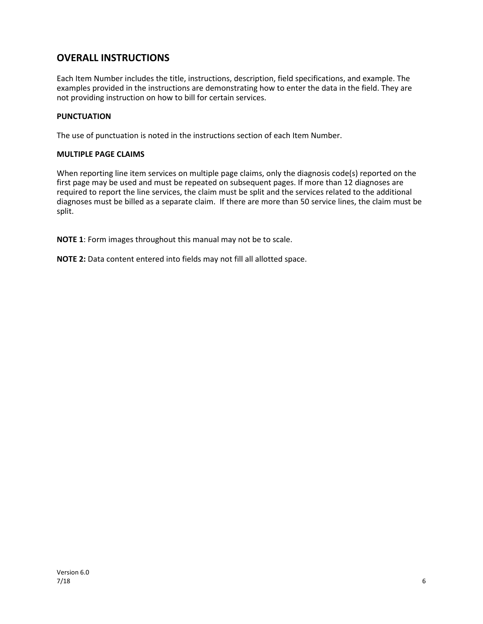## **OVERALL INSTRUCTIONS**

Each Item Number includes the title, instructions, description, field specifications, and example. The examples provided in the instructions are demonstrating how to enter the data in the field. They are not providing instruction on how to bill for certain services.

#### **PUNCTUATION**

The use of punctuation is noted in the instructions section of each Item Number.

#### **MULTIPLE PAGE CLAIMS**

When reporting line item services on multiple page claims, only the diagnosis code(s) reported on the first page may be used and must be repeated on subsequent pages. If more than 12 diagnoses are required to report the line services, the claim must be split and the services related to the additional diagnoses must be billed as a separate claim. If there are more than 50 service lines, the claim must be split.

**NOTE 1**: Form images throughout this manual may not be to scale.

**NOTE 2:** Data content entered into fields may not fill all allotted space.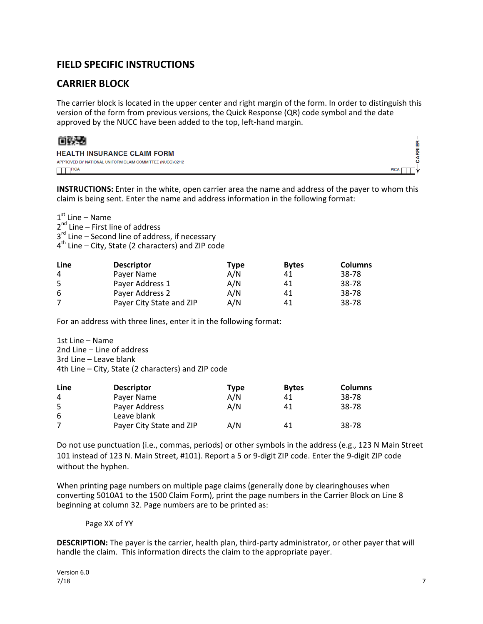## **FIELD SPECIFIC INSTRUCTIONS**

## **CARRIER BLOCK**

The carrier block is located in the upper center and right margin of the form. In order to distinguish this version of the form from previous versions, the Quick Response (QR) code symbol and the date approved by the NUCC have been added to the top, left-hand margin.



| <b>HEALTH INSURANCE CLAIM FORM</b>                        |             |
|-----------------------------------------------------------|-------------|
| APPROVED BY NATIONAL UNIFORM CLAIM COMMITTEE (NUCC) 02/12 |             |
| <b>TTTTPICA</b>                                           | <b>PICA</b> |

**INSTRUCTIONS:** Enter in the white, open carrier area the name and address of the payer to whom this claim is being sent. Enter the name and address information in the following format:

 $1<sup>st</sup>$  Line – Name

 $2^{nd}$  Line – First line of address

3<sup>rd</sup> Line – Second line of address, if necessary

4<sup>th</sup> Line – City, State (2 characters) and ZIP code

| Line | <b>Descriptor</b>        | Type | <b>Bytes</b> | <b>Columns</b> |
|------|--------------------------|------|--------------|----------------|
| 4    | Payer Name               | A/N  | 41           | 38-78          |
| 5.   | Payer Address 1          | A/N  | 41           | 38-78          |
| 6    | Payer Address 2          | A/N  | 41           | 38-78          |
|      | Payer City State and ZIP | A/N  | 41           | 38-78          |

For an address with three lines, enter it in the following format:

1st Line – Name 2nd Line – Line of address 3rd Line – Leave blank 4th Line – City, State (2 characters) and ZIP code

| Line | <b>Descriptor</b>        | Type | <b>Bytes</b> | <b>Columns</b> |
|------|--------------------------|------|--------------|----------------|
| 4    | Payer Name               | A/N  | 41           | 38-78          |
| 5.   | Payer Address            | A/N  | 41           | 38-78          |
| 6    | Leave blank              |      |              |                |
|      | Payer City State and ZIP | A/N  | 41           | 38-78          |

Do not use punctuation (i.e., commas, periods) or other symbols in the address (e.g., 123 N Main Street 101 instead of 123 N. Main Street, #101). Report a 5 or 9-digit ZIP code. Enter the 9-digit ZIP code without the hyphen.

When printing page numbers on multiple page claims (generally done by clearinghouses when converting 5010A1 to the 1500 Claim Form), print the page numbers in the Carrier Block on Line 8 beginning at column 32. Page numbers are to be printed as:

#### Page XX of YY

**DESCRIPTION:** The payer is the carrier, health plan, third-party administrator, or other payer that will handle the claim. This information directs the claim to the appropriate payer.

۴Ė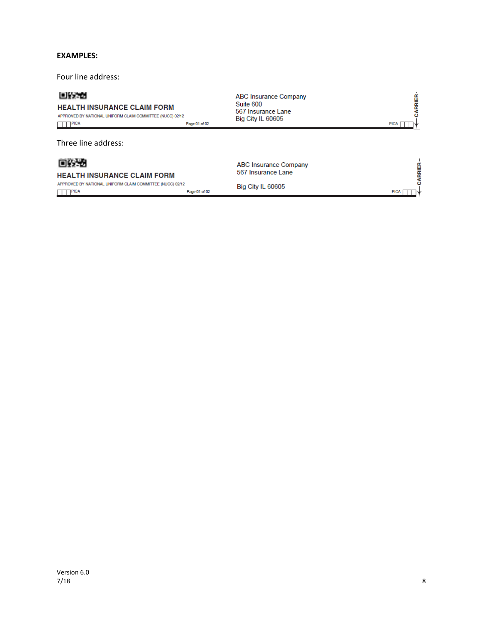#### **EXAMPLES:**

Four line address:

#### 回致地

#### **HEALTH INSURANCE CLAIM FORM**

APPROVED BY NATIONAL UNIFORM CLAIM COMMITTEE (NUCC) 02/12  $\Box$  PICA Page 01 of 02

Three line address:

## 回头者

#### **HEALTH INSURANCE CLAIM FORM**

APPROVED BY NATIONAL UNIFORM CLAIM COMMITTEE (NUCC) 02/12  $\Box$  PICA Page 01 of 02 **ABC Insurance Company** Suite 600 567 Insurance Lane Big City IL 60605

**CARRIER** PICA | | |

PICA<sub>[</sub>

CARRIER-

**ABC Insurance Company** 567 Insurance Lane

Big City IL 60605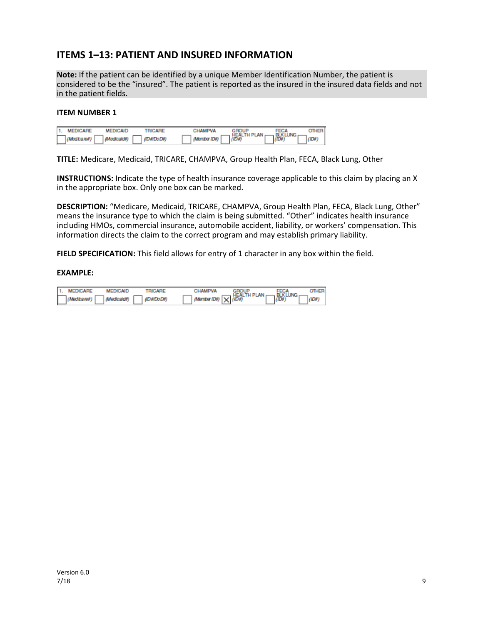## **ITEMS 1–13: PATIENT AND INSURED INFORMATION**

**Note:** If the patient can be identified by a unique Member Identification Number, the patient is considered to be the "insured". The patient is reported as the insured in the insured data fields and not in the patient fields.

#### **ITEM NUMBER 1**

|   | 1. MEDICARE | <b>MEDICAID</b> | <b>TRICARE</b> | CHAMPVA             |                                                          |                                 |  |
|---|-------------|-----------------|----------------|---------------------|----------------------------------------------------------|---------------------------------|--|
| Е | (Medicare#) | (Medicald#)     | (ID#/DoD#)     | $\Box$ (Member ID#) | $\left  \frac{\text{HEALTH PLAN}}{\text{(ID4)}} \right $ | FECA<br>BLKLUNG<br><i>(ID#)</i> |  |

**TITLE:** Medicare, Medicaid, TRICARE, CHAMPVA, Group Health Plan, FECA, Black Lung, Other

**INSTRUCTIONS:** Indicate the type of health insurance coverage applicable to this claim by placing an X in the appropriate box. Only one box can be marked.

**DESCRIPTION:** "Medicare, Medicaid, TRICARE, CHAMPVA, Group Health Plan, FECA, Black Lung, Other" means the insurance type to which the claim is being submitted. "Other" indicates health insurance including HMOs, commercial insurance, automobile accident, liability, or workers' compensation. This information directs the claim to the correct program and may establish primary liability.

**FIELD SPECIFICATION:** This field allows for entry of 1 character in any box within the field.

| 1. MEDICARE | <b>MEDICAID</b> | TRICARE    | CHAMPVA                                   | <b>FEGA</b>       |  |
|-------------|-----------------|------------|-------------------------------------------|-------------------|--|
| (Medicare#) | (Medicald#)     | (ID#/DoD#) | $\left($ Member ID#) $\overline{X}$ (ID#) | BLK LUNG<br>(ID#) |  |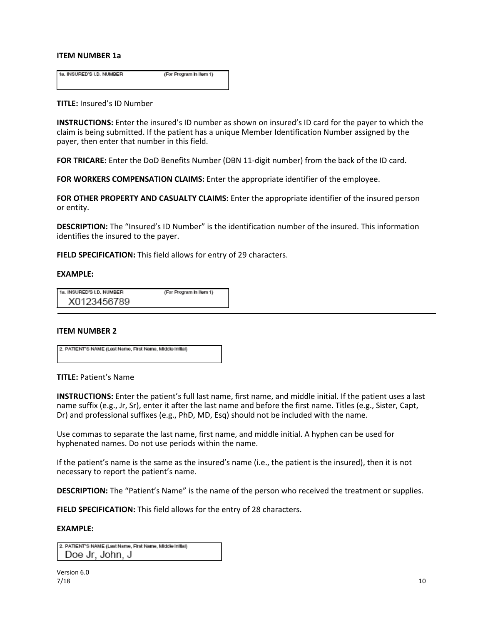#### **ITEM NUMBER 1a**

1a. INSURED'S I.D. NUMBER (For Program in Item 1)

#### **TITLE:** Insured's ID Number

**INSTRUCTIONS:** Enter the insured's ID number as shown on insured's ID card for the payer to which the claim is being submitted. If the patient has a unique Member Identification Number assigned by the payer, then enter that number in this field.

**FOR TRICARE:** Enter the DoD Benefits Number (DBN 11-digit number) from the back of the ID card.

**FOR WORKERS COMPENSATION CLAIMS:** Enter the appropriate identifier of the employee.

**FOR OTHER PROPERTY AND CASUALTY CLAIMS:** Enter the appropriate identifier of the insured person or entity.

**DESCRIPTION:** The "Insured's ID Number" is the identification number of the insured. This information identifies the insured to the payer.

**FIELD SPECIFICATION:** This field allows for entry of 29 characters.

#### **EXAMPLE:**

| 1a. INSURED'S I.D. NUMBER | (For Program in Item 1) |
|---------------------------|-------------------------|
| X0123456789               |                         |

#### **ITEM NUMBER 2**

2. PATIENT'S NAME (Last Name, First Name, Middle Initial)

#### **TITLE:** Patient's Name

**INSTRUCTIONS:** Enter the patient's full last name, first name, and middle initial. If the patient uses a last name suffix (e.g., Jr, Sr), enter it after the last name and before the first name. Titles (e.g., Sister, Capt, Dr) and professional suffixes (e.g., PhD, MD, Esq) should not be included with the name.

Use commas to separate the last name, first name, and middle initial. A hyphen can be used for hyphenated names. Do not use periods within the name.

If the patient's name is the same as the insured's name (i.e., the patient is the insured), then it is not necessary to report the patient's name.

**DESCRIPTION:** The "Patient's Name" is the name of the person who received the treatment or supplies.

**FIELD SPECIFICATION:** This field allows for the entry of 28 characters.

| 2. PATIENT'S NAME (Last Name, First Name, Middle Initial) |  |
|-----------------------------------------------------------|--|
| Doe Jr, John, J                                           |  |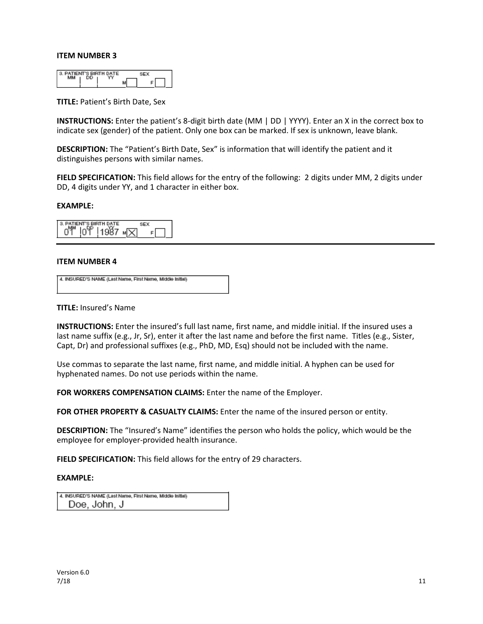| PATIENT'S BIRTH DATE |  |  |  |
|----------------------|--|--|--|
|                      |  |  |  |

**TITLE:** Patient's Birth Date, Sex

**INSTRUCTIONS:** Enter the patient's 8-digit birth date (MM | DD | YYYY). Enter an X in the correct box to indicate sex (gender) of the patient. Only one box can be marked. If sex is unknown, leave blank.

**DESCRIPTION:** The "Patient's Birth Date, Sex" is information that will identify the patient and it distinguishes persons with similar names.

**FIELD SPECIFICATION:** This field allows for the entry of the following: 2 digits under MM, 2 digits under DD, 4 digits under YY, and 1 character in either box.

#### **EXAMPLE:**

3. PATIENT'S BIRTH DATE **SEX**  $04$   $104$   $1987$   $N$  $F$ 

#### **ITEM NUMBER 4**

| 4. INSURED'S NAME (Last Name, First Name, Middle Initial) |  |
|-----------------------------------------------------------|--|
|                                                           |  |

#### **TITLE:** Insured's Name

**INSTRUCTIONS:** Enter the insured's full last name, first name, and middle initial. If the insured uses a last name suffix (e.g., Jr, Sr), enter it after the last name and before the first name. Titles (e.g., Sister, Capt, Dr) and professional suffixes (e.g., PhD, MD, Esq) should not be included with the name.

Use commas to separate the last name, first name, and middle initial. A hyphen can be used for hyphenated names. Do not use periods within the name.

**FOR WORKERS COMPENSATION CLAIMS:** Enter the name of the Employer.

FOR OTHER PROPERTY & CASUALTY CLAIMS: Enter the name of the insured person or entity.

**DESCRIPTION:** The "Insured's Name" identifies the person who holds the policy, which would be the employee for employer-provided health insurance.

**FIELD SPECIFICATION:** This field allows for the entry of 29 characters.

| 4. INSURED'S NAME (Last Name, First Name, Middle Initial) |
|-----------------------------------------------------------|
| Doe, John, J                                              |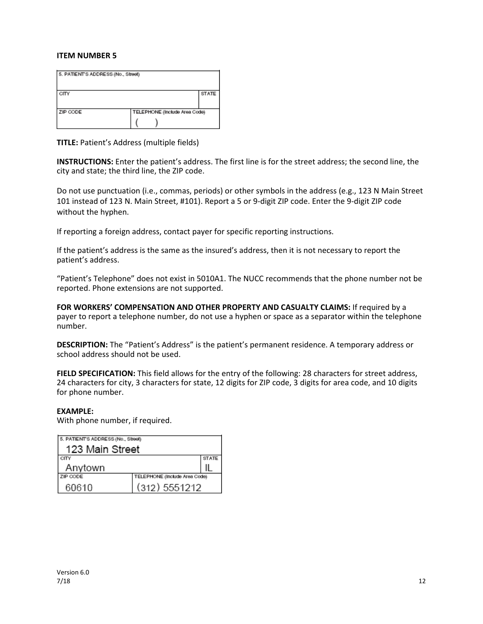| 5. PATIENT'S ADDRESS (No., Street) |                               |              |
|------------------------------------|-------------------------------|--------------|
| CITY                               |                               | <b>STATE</b> |
| ZIP CODE                           | TELEPHONE (Include Area Code) |              |
|                                    |                               |              |

**TITLE:** Patient's Address (multiple fields)

**INSTRUCTIONS:** Enter the patient's address. The first line is for the street address; the second line, the city and state; the third line, the ZIP code.

Do not use punctuation (i.e., commas, periods) or other symbols in the address (e.g., 123 N Main Street 101 instead of 123 N. Main Street, #101). Report a 5 or 9-digit ZIP code. Enter the 9-digit ZIP code without the hyphen.

If reporting a foreign address, contact payer for specific reporting instructions.

If the patient's address is the same as the insured's address, then it is not necessary to report the patient's address.

"Patient's Telephone" does not exist in 5010A1. The NUCC recommends that the phone number not be reported. Phone extensions are not supported.

**FOR WORKERS' COMPENSATION AND OTHER PROPERTY AND CASUALTY CLAIMS:** If required by a payer to report a telephone number, do not use a hyphen or space as a separator within the telephone number.

**DESCRIPTION:** The "Patient's Address" is the patient's permanent residence. A temporary address or school address should not be used.

**FIELD SPECIFICATION:** This field allows for the entry of the following: 28 characters for street address, 24 characters for city, 3 characters for state, 12 digits for ZIP code, 3 digits for area code, and 10 digits for phone number.

#### **EXAMPLE:**

With phone number, if required.

| 5. PATIENT'S ADDRESS (No., Street) |                               |              |
|------------------------------------|-------------------------------|--------------|
| 123 Main Street                    |                               |              |
| CITY                               |                               | <b>STATE</b> |
| Anytown                            |                               |              |
| ZIP CODE                           | TELEPHONE (Include Area Code) |              |
| 60610                              | (312) 5551212                 |              |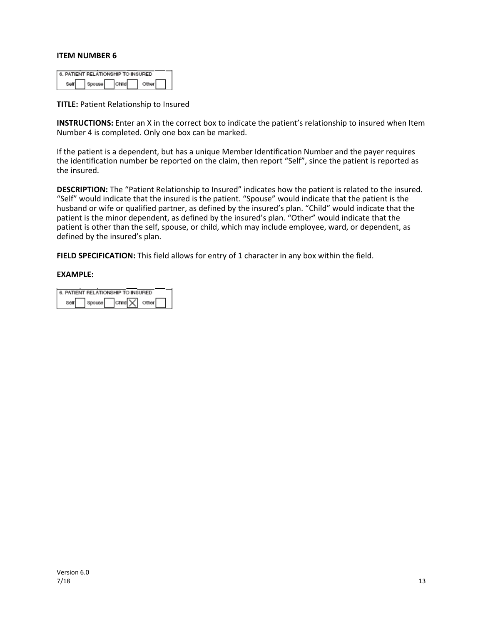| 6. PATIENT RELATIONSHIP TO INSURED |  |  |
|------------------------------------|--|--|
|                                    |  |  |

**TITLE:** Patient Relationship to Insured

**INSTRUCTIONS:** Enter an X in the correct box to indicate the patient's relationship to insured when Item Number 4 is completed. Only one box can be marked.

If the patient is a dependent, but has a unique Member Identification Number and the payer requires the identification number be reported on the claim, then report "Self", since the patient is reported as the insured.

**DESCRIPTION:** The "Patient Relationship to Insured" indicates how the patient is related to the insured. "Self" would indicate that the insured is the patient. "Spouse" would indicate that the patient is the husband or wife or qualified partner, as defined by the insured's plan. "Child" would indicate that the patient is the minor dependent, as defined by the insured's plan. "Other" would indicate that the patient is other than the self, spouse, or child, which may include employee, ward, or dependent, as defined by the insured's plan.

**FIELD SPECIFICATION:** This field allows for entry of 1 character in any box within the field.

|  | 6. PATIENT RELATIONSHIP TO INSURED |  |
|--|------------------------------------|--|
|  | child X other                      |  |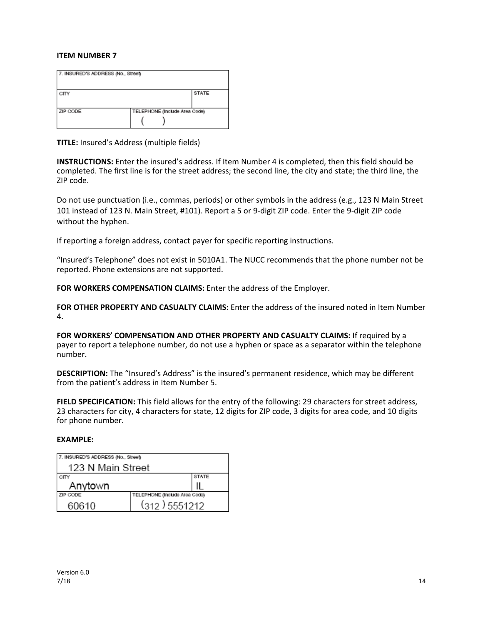| 7. INSURED'S ADDRESS (No., Street) |                               |  |
|------------------------------------|-------------------------------|--|
| <b>STATE</b><br>CITY               |                               |  |
| ZIP CODE                           | TELEPHONE (Include Area Code) |  |

**TITLE:** Insured's Address (multiple fields)

**INSTRUCTIONS:** Enter the insured's address. If Item Number 4 is completed, then this field should be completed. The first line is for the street address; the second line, the city and state; the third line, the ZIP code.

Do not use punctuation (i.e., commas, periods) or other symbols in the address (e.g., 123 N Main Street 101 instead of 123 N. Main Street, #101). Report a 5 or 9-digit ZIP code. Enter the 9-digit ZIP code without the hyphen.

If reporting a foreign address, contact payer for specific reporting instructions.

"Insured's Telephone" does not exist in 5010A1. The NUCC recommends that the phone number not be reported. Phone extensions are not supported.

FOR WORKERS COMPENSATION CLAIMS: Enter the address of the Employer.

**FOR OTHER PROPERTY AND CASUALTY CLAIMS:** Enter the address of the insured noted in Item Number 4.

**FOR WORKERS' COMPENSATION AND OTHER PROPERTY AND CASUALTY CLAIMS:** If required by a payer to report a telephone number, do not use a hyphen or space as a separator within the telephone number.

**DESCRIPTION:** The "Insured's Address" is the insured's permanent residence, which may be different from the patient's address in Item Number 5.

**FIELD SPECIFICATION:** This field allows for the entry of the following: 29 characters for street address, 23 characters for city, 4 characters for state, 12 digits for ZIP code, 3 digits for area code, and 10 digits for phone number.

| 7. INSURED'S ADDRESS (No., Street) |                               |  |
|------------------------------------|-------------------------------|--|
| 123 N Main Street                  |                               |  |
| <b>STATE</b><br>CITY               |                               |  |
| Anytown                            |                               |  |
| ZIP CODE                           | TELEPHONE (Include Area Code) |  |
| 60610                              | $(312)$ 5551212               |  |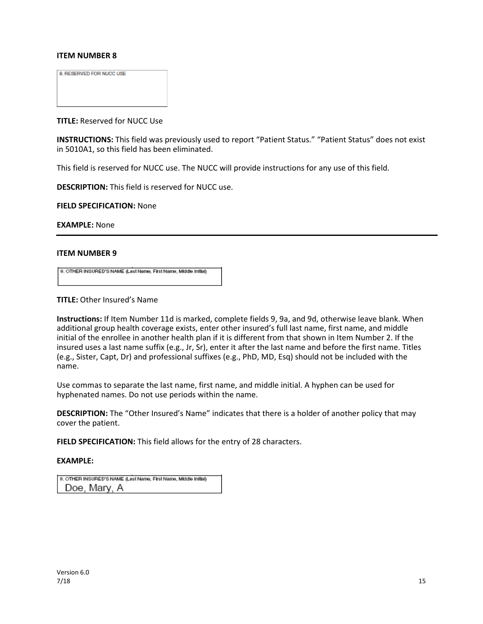8. RESERVED FOR NUCC USE

**TITLE:** Reserved for NUCC Use

**INSTRUCTIONS:** This field was previously used to report "Patient Status." "Patient Status" does not exist in 5010A1, so this field has been eliminated.

This field is reserved for NUCC use. The NUCC will provide instructions for any use of this field.

**DESCRIPTION:** This field is reserved for NUCC use.

**FIELD SPECIFICATION:** None

**EXAMPLE:** None

#### **ITEM NUMBER 9**

9. OTHER INSURED'S NAME (Last Name, First Name, Middle Initial)

**TITLE:** Other Insured's Name

**Instructions:** If Item Number 11d is marked, complete fields 9, 9a, and 9d, otherwise leave blank. When additional group health coverage exists, enter other insured's full last name, first name, and middle initial of the enrollee in another health plan if it is different from that shown in Item Number 2. If the insured uses a last name suffix (e.g., Jr, Sr), enter it after the last name and before the first name. Titles (e.g., Sister, Capt, Dr) and professional suffixes (e.g., PhD, MD, Esq) should not be included with the name.

Use commas to separate the last name, first name, and middle initial. A hyphen can be used for hyphenated names. Do not use periods within the name.

**DESCRIPTION:** The "Other Insured's Name" indicates that there is a holder of another policy that may cover the patient.

**FIELD SPECIFICATION:** This field allows for the entry of 28 characters.

| 9. OTHER INSURED'S NAME (Last Name, First Name, Middle Initial) |
|-----------------------------------------------------------------|
| Doe, Mary, A                                                    |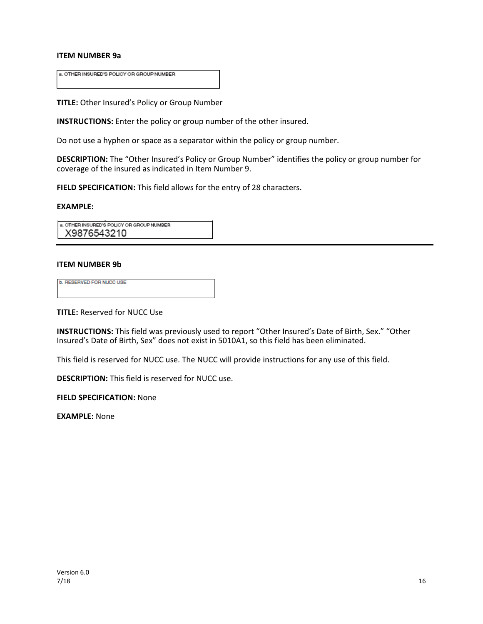#### **ITEM NUMBER 9a**

a. OTHER INSURED'S POLICY OR GROUP NUMBER

**TITLE:** Other Insured's Policy or Group Number

**INSTRUCTIONS:** Enter the policy or group number of the other insured.

Do not use a hyphen or space as a separator within the policy or group number.

**DESCRIPTION:** The "Other Insured's Policy or Group Number" identifies the policy or group number for coverage of the insured as indicated in Item Number 9.

**FIELD SPECIFICATION:** This field allows for the entry of 28 characters.

#### **EXAMPLE:**

a. OTHER INSURED'S POLICY OR GROUP NUMBER X9876543210

#### **ITEM NUMBER 9b**

| <b>b. RESERVED FOR NUCC USE</b> |  |
|---------------------------------|--|
|                                 |  |
|                                 |  |
|                                 |  |
|                                 |  |
|                                 |  |

**TITLE:** Reserved for NUCC Use

**INSTRUCTIONS:** This field was previously used to report "Other Insured's Date of Birth, Sex." "Other Insured's Date of Birth, Sex" does not exist in 5010A1, so this field has been eliminated.

This field is reserved for NUCC use. The NUCC will provide instructions for any use of this field.

**DESCRIPTION:** This field is reserved for NUCC use.

**FIELD SPECIFICATION:** None

**EXAMPLE:** None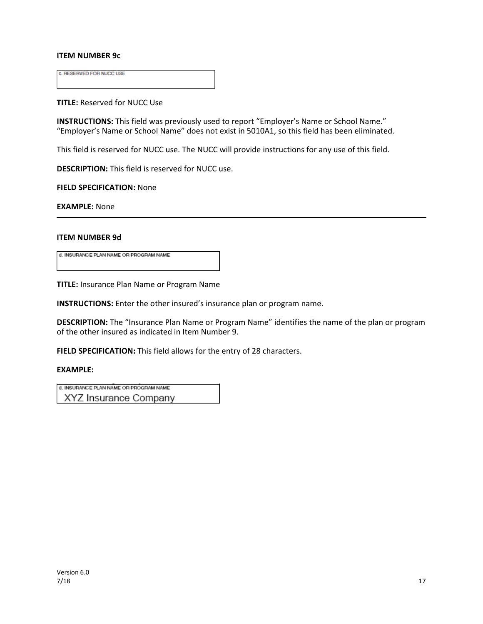#### **ITEM NUMBER 9c**

c. RESERVED FOR NUCC USE

**TITLE:** Reserved for NUCC Use

**INSTRUCTIONS:** This field was previously used to report "Employer's Name or School Name." "Employer's Name or School Name" does not exist in 5010A1, so this field has been eliminated.

This field is reserved for NUCC use. The NUCC will provide instructions for any use of this field.

**DESCRIPTION:** This field is reserved for NUCC use.

**FIELD SPECIFICATION:** None

**EXAMPLE:** None

#### **ITEM NUMBER 9d**

d. INSURANCE PLAN NAME OR PROGRAM NAME

**TITLE:** Insurance Plan Name or Program Name

**INSTRUCTIONS:** Enter the other insured's insurance plan or program name.

**DESCRIPTION:** The "Insurance Plan Name or Program Name" identifies the name of the plan or program of the other insured as indicated in Item Number 9.

**FIELD SPECIFICATION:** This field allows for the entry of 28 characters.

#### **EXAMPLE:**

d. INSURANCE PLAN NAME OR PROGRAM NAME

XYZ Insurance Company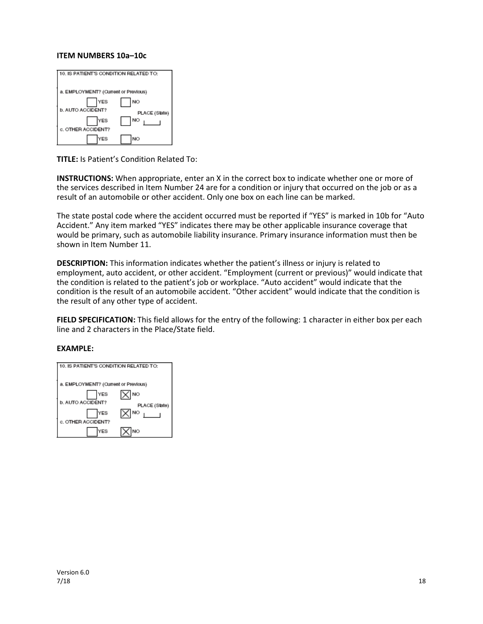#### **ITEM NUMBERS 10a–10c**

| 10. IS PATIENT'S CONDITION RELATED TO: |               |
|----------------------------------------|---------------|
|                                        |               |
| a. EMPLOYMENT? (Current or Previous)   |               |
| YES                                    | NO            |
| <b>b. AUTO ACCIDENT?</b>               | PLACE (State) |
| YES                                    | NO            |
| c. OTHER ACCIDENT?                     |               |
| YES                                    | NO            |

**TITLE:** Is Patient's Condition Related To:

**INSTRUCTIONS:** When appropriate, enter an X in the correct box to indicate whether one or more of the services described in Item Number 24 are for a condition or injury that occurred on the job or as a result of an automobile or other accident. Only one box on each line can be marked.

The state postal code where the accident occurred must be reported if "YES" is marked in 10b for "Auto Accident." Any item marked "YES" indicates there may be other applicable insurance coverage that would be primary, such as automobile liability insurance. Primary insurance information must then be shown in Item Number 11.

**DESCRIPTION:** This information indicates whether the patient's illness or injury is related to employment, auto accident, or other accident. "Employment (current or previous)" would indicate that the condition is related to the patient's job or workplace. "Auto accident" would indicate that the condition is the result of an automobile accident. "Other accident" would indicate that the condition is the result of any other type of accident.

**FIELD SPECIFICATION:** This field allows for the entry of the following: 1 character in either box per each line and 2 characters in the Place/State field.

| 0. IS PATIENT'S CONDITION RELATED TO: |                      |
|---------------------------------------|----------------------|
| a. EMPLOYMENT? (Current or Previous)  |                      |
| YES<br><b>b. AUTO ACCIDENT?</b>       | NO.<br>PLACE (State) |
| YES<br>c. OTHER ACCIDENT?             | <b>NO</b>            |
| YES                                   | NO                   |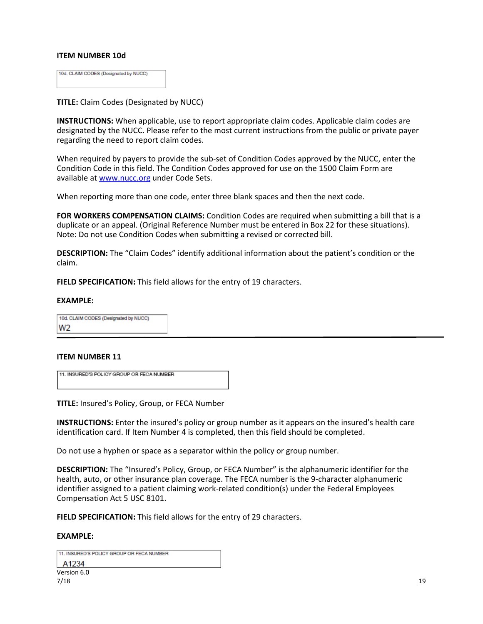#### **ITEM NUMBER 10d**

| 10d. CLAIM CODES (Designated by NUCC) |  |
|---------------------------------------|--|
|                                       |  |

**TITLE:** Claim Codes (Designated by NUCC)

**INSTRUCTIONS:** When applicable, use to report appropriate claim codes. Applicable claim codes are designated by the NUCC. Please refer to the most current instructions from the public or private payer regarding the need to report claim codes.

When required by payers to provide the sub-set of Condition Codes approved by the NUCC, enter the Condition Code in this field. The Condition Codes approved for use on the 1500 Claim Form are available a[t www.nucc.org](http://www.nucc.org/) under Code Sets.

When reporting more than one code, enter three blank spaces and then the next code.

**FOR WORKERS COMPENSATION CLAIMS:** Condition Codes are required when submitting a bill that is a duplicate or an appeal. (Original Reference Number must be entered in Box 22 for these situations). Note: Do not use Condition Codes when submitting a revised or corrected bill.

**DESCRIPTION:** The "Claim Codes" identify additional information about the patient's condition or the claim.

**FIELD SPECIFICATION:** This field allows for the entry of 19 characters.

#### **EXAMPLE:**

10d. CLAIM CODES (Designated by NUCC) W<sub>2</sub>

#### **ITEM NUMBER 11**

11. INSURED'S POLICY GROUP OR FECA NUMBER

**TITLE:** Insured's Policy, Group, or FECA Number

**INSTRUCTIONS:** Enter the insured's policy or group number as it appears on the insured's health care identification card. If Item Number 4 is completed, then this field should be completed.

Do not use a hyphen or space as a separator within the policy or group number.

**DESCRIPTION:** The "Insured's Policy, Group, or FECA Number" is the alphanumeric identifier for the health, auto, or other insurance plan coverage. The FECA number is the 9-character alphanumeric identifier assigned to a patient claiming work-related condition(s) under the Federal Employees Compensation Act 5 USC 8101.

**FIELD SPECIFICATION:** This field allows for the entry of 29 characters.

| 11. INSURED'S POLICY GROUP OR FECA NUMBER |  |
|-------------------------------------------|--|
| A1234                                     |  |
| Version 6.0                               |  |
| 7/18                                      |  |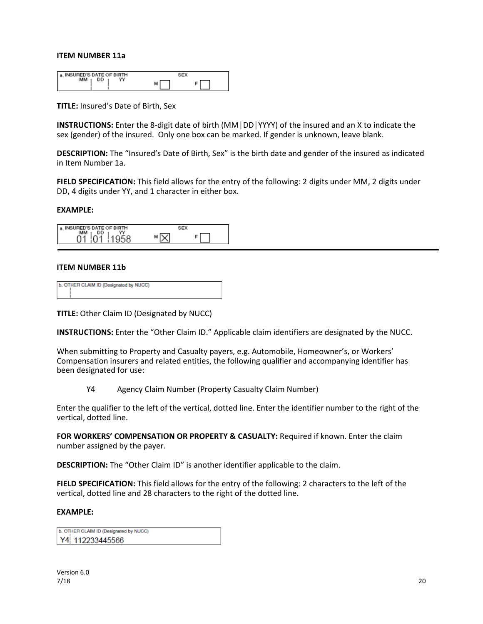#### **ITEM NUMBER 11a**

| SURED'S DATE OF BIRTH |   |
|-----------------------|---|
|                       | м |
|                       |   |

**TITLE:** Insured's Date of Birth, Sex

**INSTRUCTIONS:** Enter the 8-digit date of birth (MM│DD│YYYY) of the insured and an X to indicate the sex (gender) of the insured. Only one box can be marked. If gender is unknown, leave blank.

**DESCRIPTION:** The "Insured's Date of Birth, Sex" is the birth date and gender of the insured as indicated in Item Number 1a.

**FIELD SPECIFICATION:** This field allows for the entry of the following: 2 digits under MM, 2 digits under DD, 4 digits under YY, and 1 character in either box.

#### **EXAMPLE:**

| ED'S DATE OF BIRTH<br>a. INSURED |  |
|----------------------------------|--|
| мм<br>DD<br>$-\alpha$            |  |

#### **ITEM NUMBER 11b**

| b. OTHER CLAIM ID (Designated by NUCC) |  |
|----------------------------------------|--|
|                                        |  |
|                                        |  |
|                                        |  |
|                                        |  |

**TITLE:** Other Claim ID (Designated by NUCC)

**INSTRUCTIONS:** Enter the "Other Claim ID." Applicable claim identifiers are designated by the NUCC.

When submitting to Property and Casualty payers, e.g. Automobile, Homeowner's, or Workers' Compensation insurers and related entities, the following qualifier and accompanying identifier has been designated for use:

Y4 Agency Claim Number (Property Casualty Claim Number)

Enter the qualifier to the left of the vertical, dotted line. Enter the identifier number to the right of the vertical, dotted line.

**FOR WORKERS' COMPENSATION OR PROPERTY & CASUALTY:** Required if known. Enter the claim number assigned by the payer.

**DESCRIPTION:** The "Other Claim ID" is another identifier applicable to the claim.

**FIELD SPECIFICATION:** This field allows for the entry of the following: 2 characters to the left of the vertical, dotted line and 28 characters to the right of the dotted line.

| b. OTHER CLAIM ID (Designated by NUCC) |  |
|----------------------------------------|--|
| Y4 112233445566                        |  |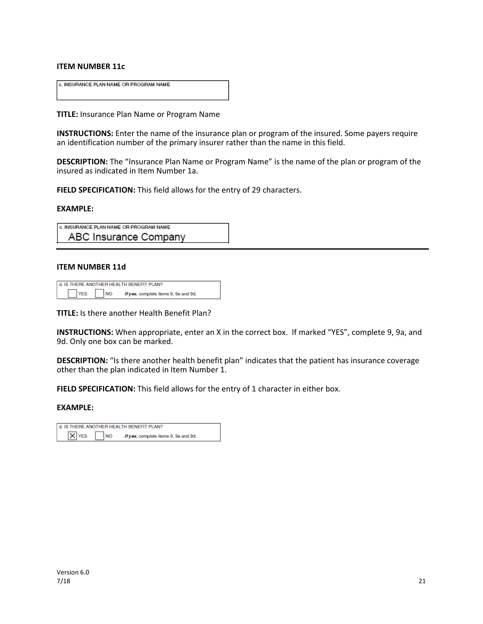#### **ITEM NUMBER 11c**

| c. INSURANCE PLAN NAME OR PROGRAM NAME |  |
|----------------------------------------|--|
|                                        |  |
|                                        |  |
|                                        |  |
|                                        |  |
|                                        |  |

**TITLE:** Insurance Plan Name or Program Name

**INSTRUCTIONS:** Enter the name of the insurance plan or program of the insured. Some payers require an identification number of the primary insurer rather than the name in this field.

**DESCRIPTION:** The "Insurance Plan Name or Program Name" is the name of the plan or program of the insured as indicated in Item Number 1a.

**FIELD SPECIFICATION:** This field allows for the entry of 29 characters.

#### **EXAMPLE:**

| c. INSURANCE PLAN NAME OR PROGRAM NAME |  |
|----------------------------------------|--|
| ABC Insurance Company                  |  |

#### **ITEM NUMBER 11d**

| d. IS THERE ANOTHER HEALTH BENEFIT PLAN? |                                                    |  |
|------------------------------------------|----------------------------------------------------|--|
| YES                                      | <b>INO</b><br>If yes, complete items 9, 9a and 9d. |  |

**TITLE:** Is there another Health Benefit Plan?

**INSTRUCTIONS:** When appropriate, enter an X in the correct box. If marked "YES", complete 9, 9a, and 9d. Only one box can be marked.

**DESCRIPTION:** "Is there another health benefit plan" indicates that the patient has insurance coverage other than the plan indicated in Item Number 1.

**FIELD SPECIFICATION:** This field allows for the entry of 1 character in either box.

| d. IS THERE ANOTHER HEALTH BENEFIT PLAN? |           |                                      |  |
|------------------------------------------|-----------|--------------------------------------|--|
| $\times$ YES                             | <b>NO</b> | If yes, complete items 9, 9a and 9d. |  |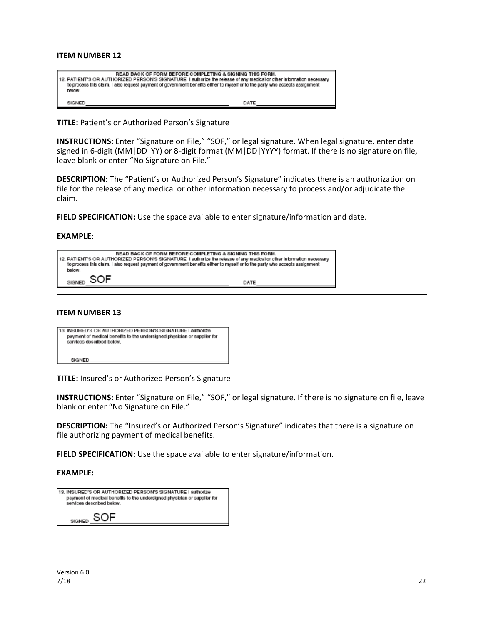| READ BACK OF FORM BEFORE COMPLETING & SIGNING THIS FORM.<br>112. PATIENT'S OR AUTHORIZED PERSON'S SIGNATURE 1 authorize the release of any medical or other information necessary<br>to process this claim. I also request payment of government benefits either to myself or to the party who accepts assignment<br>below. |      |
|-----------------------------------------------------------------------------------------------------------------------------------------------------------------------------------------------------------------------------------------------------------------------------------------------------------------------------|------|
| SIGNED                                                                                                                                                                                                                                                                                                                      | DATE |

**TITLE:** Patient's or Authorized Person's Signature

**INSTRUCTIONS:** Enter "Signature on File," "SOF," or legal signature. When legal signature, enter date signed in 6-digit (MM|DD|YY) or 8-digit format (MM|DD|YYYY) format. If there is no signature on file, leave blank or enter "No Signature on File."

**DESCRIPTION:** The "Patient's or Authorized Person's Signature" indicates there is an authorization on file for the release of any medical or other information necessary to process and/or adjudicate the claim.

**FIELD SPECIFICATION:** Use the space available to enter signature/information and date.

#### **EXAMPLE:**

| READ BACK OF FORM BEFORE COMPLETING & SIGNING THIS FORM.<br>12. PATIENT'S OR AUTHORIZED PERSON'S SIGNATURE I authorize the release of any medical or other information necessary<br>to process this claim. I also request payment of government benefits either to myself or to the party who accepts assignment<br>below. |      |  |
|----------------------------------------------------------------------------------------------------------------------------------------------------------------------------------------------------------------------------------------------------------------------------------------------------------------------------|------|--|
| <b>SIGNED</b>                                                                                                                                                                                                                                                                                                              | DATE |  |

#### **ITEM NUMBER 13**

| 13. INSURED'S OR AUTHORIZED PERSON'S SIGNATURE I authorize<br>payment of medical benefits to the undersigned physician or supplier for<br>services described below. |
|---------------------------------------------------------------------------------------------------------------------------------------------------------------------|
| SIGNED                                                                                                                                                              |

**TITLE:** Insured's or Authorized Person's Signature

**INSTRUCTIONS:** Enter "Signature on File," "SOF," or legal signature. If there is no signature on file, leave blank or enter "No Signature on File."

**DESCRIPTION:** The "Insured's or Authorized Person's Signature" indicates that there is a signature on file authorizing payment of medical benefits.

**FIELD SPECIFICATION:** Use the space available to enter signature/information.

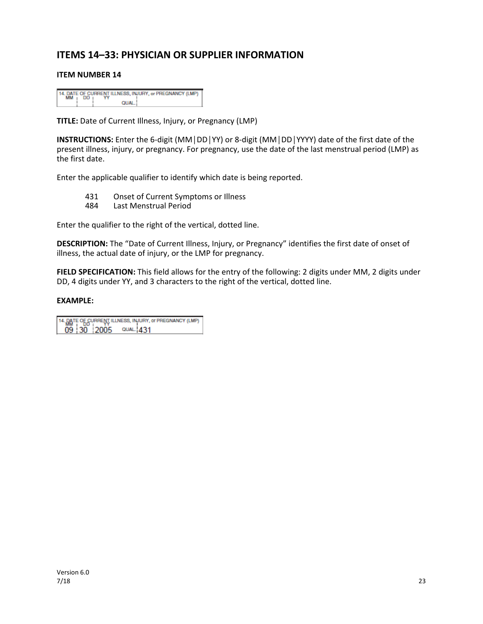## **ITEMS 14–33: PHYSICIAN OR SUPPLIER INFORMATION**

#### **ITEM NUMBER 14**

|           |       | 14. DATE OF CURRENT ILLNESS, INJURY, or PREGNANCY (LMP) |
|-----------|-------|---------------------------------------------------------|
| <b>MM</b> |       |                                                         |
|           | QUAL. |                                                         |

**TITLE:** Date of Current Illness, Injury, or Pregnancy (LMP)

**INSTRUCTIONS:** Enter the 6-digit (MM│DD│YY) or 8-digit (MM│DD│YYYY) date of the first date of the present illness, injury, or pregnancy. For pregnancy, use the date of the last menstrual period (LMP) as the first date.

Enter the applicable qualifier to identify which date is being reported.

- 431 Onset of Current Symptoms or Illness
- 484 Last Menstrual Period

Enter the qualifier to the right of the vertical, dotted line.

**DESCRIPTION:** The "Date of Current Illness, Injury, or Pregnancy" identifies the first date of onset of illness, the actual date of injury, or the LMP for pregnancy.

**FIELD SPECIFICATION:** This field allows for the entry of the following: 2 digits under MM, 2 digits under DD, 4 digits under YY, and 3 characters to the right of the vertical, dotted line.

14. DATE OF CURRENT ILLNESS, INJURY, or PREGNANCY (LMP) 09 30 2005 QUAL 431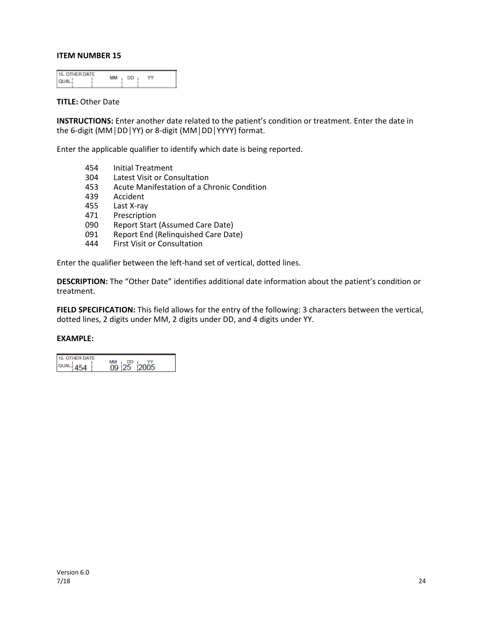| <b>15. OTHER DATE</b><br><b>OUAL</b> | MM<br>- DD<br>Y٢ |  |
|--------------------------------------|------------------|--|
|--------------------------------------|------------------|--|

#### **TITLE:** Other Date

**INSTRUCTIONS:** Enter another date related to the patient's condition or treatment. Enter the date in the 6-digit (MM│DD│YY) or 8-digit (MM│DD│YYYY) format.

Enter the applicable qualifier to identify which date is being reported.

- 454 Initial Treatment<br>304 Latest Visit or Cor
- Latest Visit or Consultation
- 453 Acute Manifestation of a Chronic Condition
- 439 Accident
- 455 Last X-ray
- 471 Prescription
- 090 Report Start (Assumed Care Date)<br>091 Report End (Relinguished Care Dat
- Report End (Relinquished Care Date)
- 444 First Visit or Consultation

Enter the qualifier between the left-hand set of vertical, dotted lines.

**DESCRIPTION:** The "Other Date" identifies additional date information about the patient's condition or treatment.

**FIELD SPECIFICATION:** This field allows for the entry of the following: 3 characters between the vertical, dotted lines, 2 digits under MM, 2 digits under DD, and 4 digits under YY.

| 15. OTHER DATE |                       |       |
|----------------|-----------------------|-------|
| $QUAL$ 454     | MМ<br>- DD<br>09.I25. | 12005 |
|                |                       |       |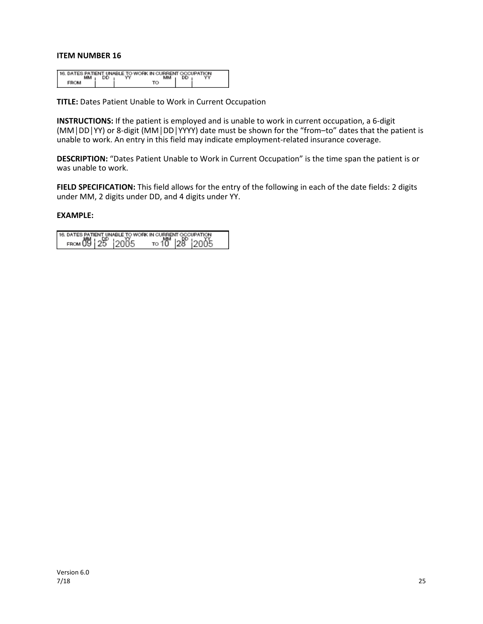|  |    | 116. DATES PATIENT UNABLE TO WORK IN CURRENT OCCUPATION. |    |  |
|--|----|----------------------------------------------------------|----|--|
|  | DD |                                                          | DD |  |
|  |    |                                                          |    |  |

**TITLE:** Dates Patient Unable to Work in Current Occupation

**INSTRUCTIONS:** If the patient is employed and is unable to work in current occupation, a 6-digit (MM│DD│YY) or 8-digit (MM│DD│YYYY) date must be shown for the "from–to" dates that the patient is unable to work. An entry in this field may indicate employment-related insurance coverage.

**DESCRIPTION:** "Dates Patient Unable to Work in Current Occupation" is the time span the patient is or was unable to work.

**FIELD SPECIFICATION:** This field allows for the entry of the following in each of the date fields: 2 digits under MM, 2 digits under DD, and 4 digits under YY.

| 16. DATES PATIENT UNABLE TO WORK IN CURRENT OCCUPATION. |  |                                            |  |
|---------------------------------------------------------|--|--------------------------------------------|--|
| FROM 09   25   2005                                     |  | το 10 <sup>MM</sup> 128 <sup>p</sup> 12005 |  |
|                                                         |  |                                            |  |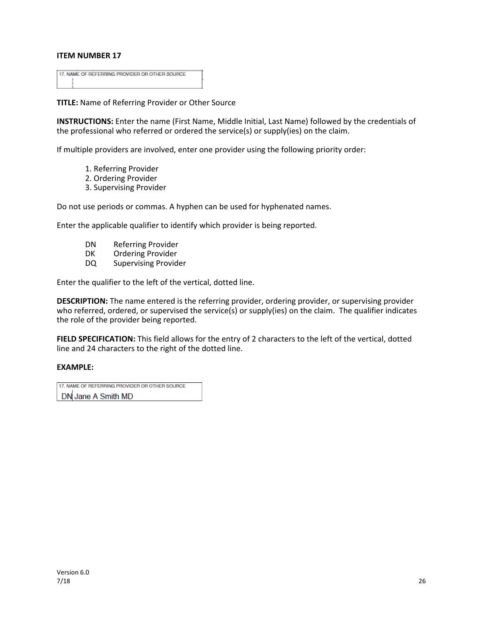| 17. NAME OF REFERRING PROVIDER OR OTHER SOURCE |  |
|------------------------------------------------|--|
|                                                |  |
|                                                |  |
|                                                |  |

**TITLE:** Name of Referring Provider or Other Source

**INSTRUCTIONS:** Enter the name (First Name, Middle Initial, Last Name) followed by the credentials of the professional who referred or ordered the service(s) or supply(ies) on the claim.

If multiple providers are involved, enter one provider using the following priority order:

- 1. Referring Provider
- 2. Ordering Provider
- 3. Supervising Provider

Do not use periods or commas. A hyphen can be used for hyphenated names.

Enter the applicable qualifier to identify which provider is being reported.

- DN Referring Provider
- DK Ordering Provider
- DQ Supervising Provider

Enter the qualifier to the left of the vertical, dotted line.

**DESCRIPTION:** The name entered is the referring provider, ordering provider, or supervising provider who referred, ordered, or supervised the service(s) or supply(ies) on the claim. The qualifier indicates the role of the provider being reported.

**FIELD SPECIFICATION:** This field allows for the entry of 2 characters to the left of the vertical, dotted line and 24 characters to the right of the dotted line.

#### **EXAMPLE:**

17. NAME OF REFERRING PROVIDER OR OTHER SOURCE DN Jane A Smith MD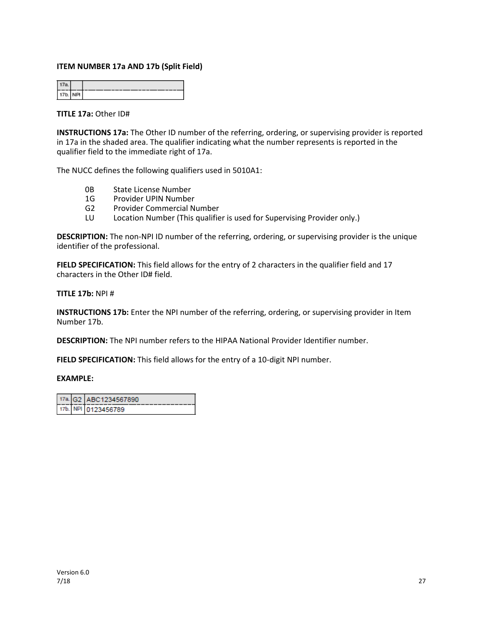#### **ITEM NUMBER 17a AND 17b (Split Field)**

| ΙŦ<br>w.<br>ı |  |
|---------------|--|

#### **TITLE 17a:** Other ID#

**INSTRUCTIONS 17a:** The Other ID number of the referring, ordering, or supervising provider is reported in 17a in the shaded area. The qualifier indicating what the number represents is reported in the qualifier field to the immediate right of 17a.

The NUCC defines the following qualifiers used in 5010A1:

- 0B State License Number
- 1G Provider UPIN Number
- G2 Provider Commercial Number
- LU Location Number (This qualifier is used for Supervising Provider only.)

**DESCRIPTION:** The non-NPI ID number of the referring, ordering, or supervising provider is the unique identifier of the professional.

**FIELD SPECIFICATION:** This field allows for the entry of 2 characters in the qualifier field and 17 characters in the Other ID# field.

#### **TITLE 17b:** NPI #

**INSTRUCTIONS 17b:** Enter the NPI number of the referring, ordering, or supervising provider in Item Number 17b.

**DESCRIPTION:** The NPI number refers to the HIPAA National Provider Identifier number.

**FIELD SPECIFICATION:** This field allows for the entry of a 10-digit NPI number.

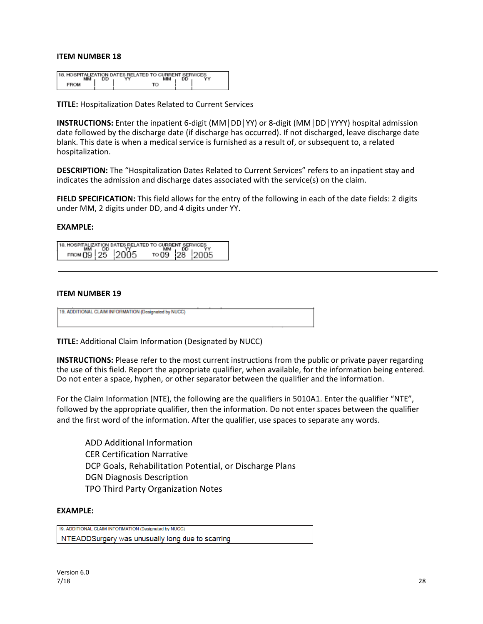| . HOSPITALIZATION DATES RELATED TO CURRENT SERVICES<br><b>18</b> |          |  |  |  |  |
|------------------------------------------------------------------|----------|--|--|--|--|
|                                                                  |          |  |  |  |  |
|                                                                  | YY<br>DD |  |  |  |  |
|                                                                  |          |  |  |  |  |
|                                                                  |          |  |  |  |  |
|                                                                  |          |  |  |  |  |
|                                                                  |          |  |  |  |  |

**TITLE:** Hospitalization Dates Related to Current Services

**INSTRUCTIONS:** Enter the inpatient 6-digit (MM│DD│YY) or 8-digit (MM│DD│YYYY) hospital admission date followed by the discharge date (if discharge has occurred). If not discharged, leave discharge date blank. This date is when a medical service is furnished as a result of, or subsequent to, a related hospitalization.

**DESCRIPTION:** The "Hospitalization Dates Related to Current Services" refers to an inpatient stay and indicates the admission and discharge dates associated with the service(s) on the claim.

**FIELD SPECIFICATION:** This field allows for the entry of the following in each of the date fields: 2 digits under MM, 2 digits under DD, and 4 digits under YY.

#### **EXAMPLE:**

|   |             |     | TION DATES RELATED TO CURPENT |  |  |
|---|-------------|-----|-------------------------------|--|--|
| ľ | <b>BARA</b> |     | 1, 25, 21                     |  |  |
|   |             | 25. |                               |  |  |

#### **ITEM NUMBER 19**

19. ADDITIONAL CLAIM INFORMATION (Designated by NUCC)

**TITLE:** Additional Claim Information (Designated by NUCC)

**INSTRUCTIONS:** Please refer to the most current instructions from the public or private payer regarding the use of this field. Report the appropriate qualifier, when available, for the information being entered. Do not enter a space, hyphen, or other separator between the qualifier and the information.

For the Claim Information (NTE), the following are the qualifiers in 5010A1. Enter the qualifier "NTE", followed by the appropriate qualifier, then the information. Do not enter spaces between the qualifier and the first word of the information. After the qualifier, use spaces to separate any words.

ADD Additional Information CER Certification Narrative DCP Goals, Rehabilitation Potential, or Discharge Plans DGN Diagnosis Description TPO Third Party Organization Notes

#### **EXAMPLE:**

19. ADDITIONAL CLAIM INFORMATION (Designated by NUCC) NTEADDSurgery was unusually long due to scarring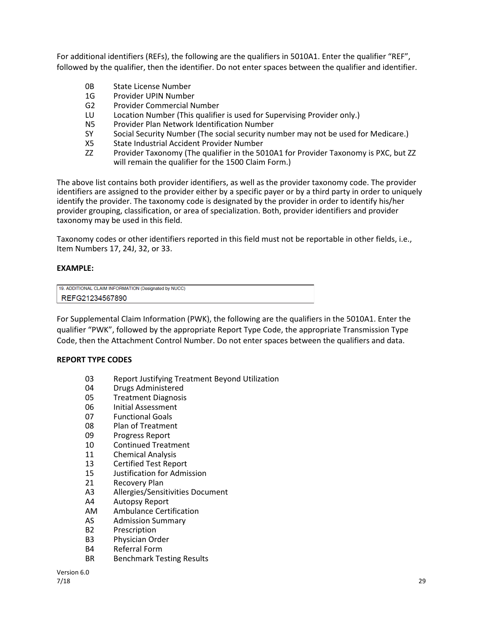For additional identifiers (REFs), the following are the qualifiers in 5010A1. Enter the qualifier "REF", followed by the qualifier, then the identifier. Do not enter spaces between the qualifier and identifier.

- 0B State License Number
- 1G Provider UPIN Number
- G2 Provider Commercial Number
- LU Location Number (This qualifier is used for Supervising Provider only.)
- N5 Provider Plan Network Identification Number
- SY Social Security Number (The social security number may not be used for Medicare.)
- X5 State Industrial Accident Provider Number
- ZZ Provider Taxonomy (The qualifier in the 5010A1 for Provider Taxonomy is PXC, but ZZ will remain the qualifier for the 1500 Claim Form.)

The above list contains both provider identifiers, as well as the provider taxonomy code. The provider identifiers are assigned to the provider either by a specific payer or by a third party in order to uniquely identify the provider. The taxonomy code is designated by the provider in order to identify his/her provider grouping, classification, or area of specialization. Both, provider identifiers and provider taxonomy may be used in this field.

Taxonomy codes or other identifiers reported in this field must not be reportable in other fields, i.e., Item Numbers 17, 24J, 32, or 33.

#### **EXAMPLE:**

| 19. ADDITIONAL CLAIM INFORMATION (Designated by NUCC) |
|-------------------------------------------------------|
| REFG21234567890                                       |

For Supplemental Claim Information (PWK), the following are the qualifiers in the 5010A1. Enter the qualifier "PWK", followed by the appropriate Report Type Code, the appropriate Transmission Type Code, then the Attachment Control Number. Do not enter spaces between the qualifiers and data.

#### **REPORT TYPE CODES**

- 03 Report Justifying Treatment Beyond Utilization
- 04 Drugs Administered
- 05 Treatment Diagnosis
- 06 Initial Assessment
- 07 Functional Goals
- 08 Plan of Treatment
- 09 Progress Report
- 10 Continued Treatment
- 11 Chemical Analysis
- 13 Certified Test Report
- 15 Justification for Admission
- 21 Recovery Plan
- A3 Allergies/Sensitivities Document
- A4 Autopsy Report
- AM Ambulance Certification
- AS Admission Summary
- B2 Prescription
- B3 Physician Order
- B4 Referral Form
- BR Benchmark Testing Results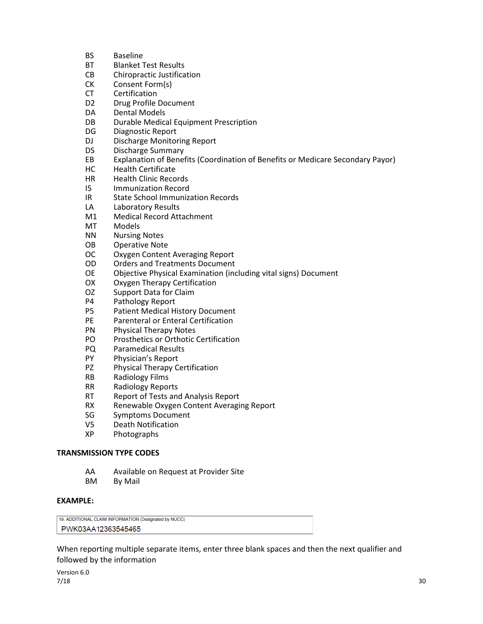- BS Baseline
- BT Blanket Test Results
- CB Chiropractic Justification
- CK Consent Form(s)
- CT Certification
- D2 Drug Profile Document
- DA Dental Models
- DB Durable Medical Equipment Prescription
- DG Diagnostic Report
- DJ Discharge Monitoring Report
- DS Discharge Summary
- EB Explanation of Benefits (Coordination of Benefits or Medicare Secondary Payor)
- HC Health Certificate
- HR Health Clinic Records
- I5 Immunization Record
- IR State School Immunization Records
- LA Laboratory Results
- M1 Medical Record Attachment
- MT Models
- NN Nursing Notes
- OB Operative Note
- OC Oxygen Content Averaging Report
- OD Orders and Treatments Document
- OE Objective Physical Examination (including vital signs) Document
- OX Oxygen Therapy Certification
- OZ Support Data for Claim
- P4 Pathology Report
- P5 Patient Medical History Document
- PE Parenteral or Enteral Certification<br>PN Physical Therapy Notes
- Physical Therapy Notes
- PO Prosthetics or Orthotic Certification
- PQ Paramedical Results
- PY Physician's Report
- PZ Physical Therapy Certification
- RB Radiology Films
- RR Radiology Reports
- RT Report of Tests and Analysis Report
- RX Renewable Oxygen Content Averaging Report
- SG Symptoms Document
- V5 Death Notification
- XP Photographs

#### **TRANSMISSION TYPE CODES**

- AA Available on Request at Provider Site
- BM By Mail

#### **EXAMPLE:**

19. ADDITIONAL CLAIM INFORMATION (Designated by NUCC) PWK03AA12363545465

When reporting multiple separate items, enter three blank spaces and then the next qualifier and followed by the information

Version 6.0  $7/18$  30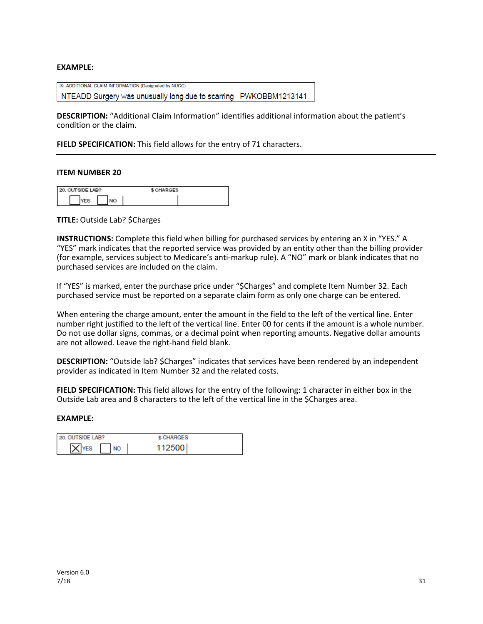#### **EXAMPLE:**

19. ADDITIONAL CLAIM INFORMATION (Designated by NUCC) NTEADD Surgery was unusually long due to scarring PWKOBBM1213141

**DESCRIPTION:** "Additional Claim Information" identifies additional information about the patient's condition or the claim.

**FIELD SPECIFICATION:** This field allows for the entry of 71 characters.

#### **ITEM NUMBER 20**

| 20. OUTSIDE LAB? | \$ CHARGES |  |
|------------------|------------|--|
|                  |            |  |

**TITLE:** Outside Lab? \$Charges

**INSTRUCTIONS:** Complete this field when billing for purchased services by entering an X in "YES." A "YES" mark indicates that the reported service was provided by an entity other than the billing provider (for example, services subject to Medicare's anti-markup rule). A "NO" mark or blank indicates that no purchased services are included on the claim.

If "YES" is marked, enter the purchase price under "\$Charges" and complete Item Number 32. Each purchased service must be reported on a separate claim form as only one charge can be entered.

When entering the charge amount, enter the amount in the field to the left of the vertical line. Enter number right justified to the left of the vertical line. Enter 00 for cents if the amount is a whole number. Do not use dollar signs, commas, or a decimal point when reporting amounts. Negative dollar amounts are not allowed. Leave the right-hand field blank.

**DESCRIPTION:** "Outside lab? \$Charges" indicates that services have been rendered by an independent provider as indicated in Item Number 32 and the related costs.

**FIELD SPECIFICATION:** This field allows for the entry of the following: 1 character in either box in the Outside Lab area and 8 characters to the left of the vertical line in the \$Charges area.

| 20. OUTSIDE LAB? | \$ CHARGES |
|------------------|------------|
| <b>NO</b>        | 112500     |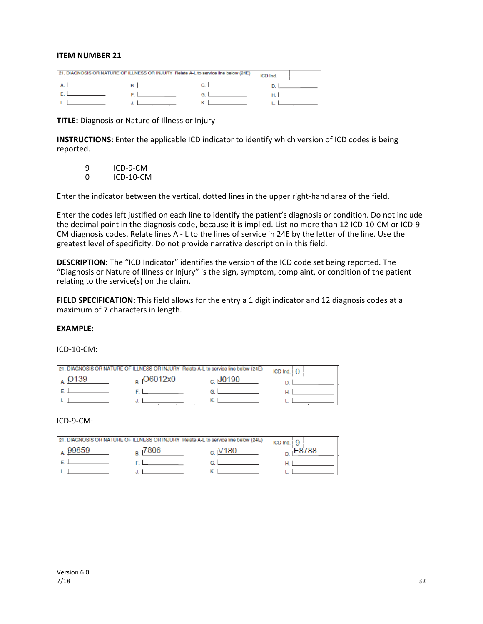|  | 21. DIAGNOSIS OR NATURE OF ILLNESS OR INJURY Relate A-L to service line below (24E) | ICD Ind. |
|--|-------------------------------------------------------------------------------------|----------|
|  |                                                                                     |          |
|  |                                                                                     |          |
|  |                                                                                     |          |

**TITLE:** Diagnosis or Nature of Illness or Injury

**INSTRUCTIONS:** Enter the applicable ICD indicator to identify which version of ICD codes is being reported.

9 ICD-9-CM<br>0 ICD-10-CM **ICD-10-CM** 

Enter the indicator between the vertical, dotted lines in the upper right-hand area of the field.

Enter the codes left justified on each line to identify the patient's diagnosis or condition. Do not include the decimal point in the diagnosis code, because it is implied. List no more than 12 ICD-10-CM or ICD-9- CM diagnosis codes. Relate lines A - L to the lines of service in 24E by the letter of the line. Use the greatest level of specificity. Do not provide narrative description in this field.

**DESCRIPTION:** The "ICD Indicator" identifies the version of the ICD code set being reported. The "Diagnosis or Nature of Illness or Injury" is the sign, symptom, complaint, or condition of the patient relating to the service(s) on the claim.

**FIELD SPECIFICATION:** This field allows for the entry a 1 digit indicator and 12 diagnosis codes at a maximum of 7 characters in length.

#### **EXAMPLE:**

ICD-10-CM:

| 21. DIAGNOSIS OR NATURE OF ILLNESS OR INJURY Relate A-L to service line below (24E) |                | ICD Ind. $\overline{0}$ |
|-------------------------------------------------------------------------------------|----------------|-------------------------|
| O6012x0                                                                             | $_{c}$ , J0190 |                         |
|                                                                                     |                |                         |
|                                                                                     |                |                         |

#### ICD-9-CM:

|       | 21. DIAGNOSIS OR NATURE OF ILLNESS OR INJURY Relate A-L to service line below (24E) |                  | ICD Ind. |
|-------|-------------------------------------------------------------------------------------|------------------|----------|
| 99859 | 7806                                                                                | V <sub>180</sub> | E8788    |
|       |                                                                                     |                  |          |
|       |                                                                                     |                  |          |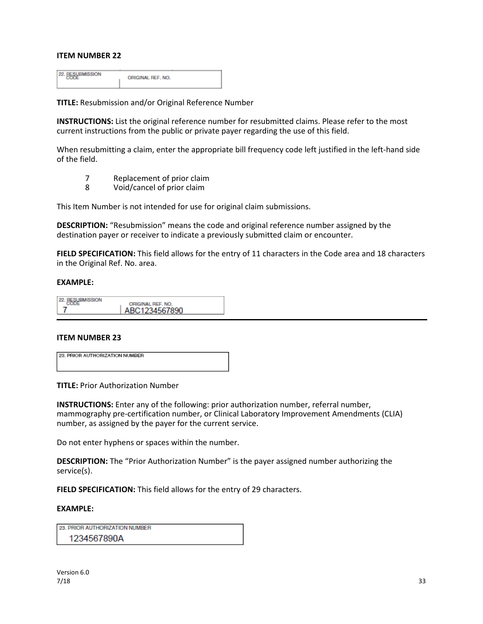22. BESUBMISSION ORIGINAL REF. NO.

**TITLE:** Resubmission and/or Original Reference Number

**INSTRUCTIONS:** List the original reference number for resubmitted claims. Please refer to the most current instructions from the public or private payer regarding the use of this field.

When resubmitting a claim, enter the appropriate bill frequency code left justified in the left-hand side of the field.

- 7 Replacement of prior claim
- 8 Void/cancel of prior claim

This Item Number is not intended for use for original claim submissions.

**DESCRIPTION:** "Resubmission" means the code and original reference number assigned by the destination payer or receiver to indicate a previously submitted claim or encounter.

**FIELD SPECIFICATION:** This field allows for the entry of 11 characters in the Code area and 18 characters in the Original Ref. No. area.

#### **EXAMPLE:**

| п |                                 |  |
|---|---------------------------------|--|
|   | <b><i>DRIGINAL REF. NO.</i></b> |  |
|   | BC1234567890                    |  |

#### **ITEM NUMBER 23**

| <b>23. PRIOR AUTHORIZATION NUMBER</b> |  |
|---------------------------------------|--|
|                                       |  |
|                                       |  |

**TITLE:** Prior Authorization Number

**INSTRUCTIONS:** Enter any of the following: prior authorization number, referral number, mammography pre-certification number, or Clinical Laboratory Improvement Amendments (CLIA) number, as assigned by the payer for the current service.

Do not enter hyphens or spaces within the number.

**DESCRIPTION:** The "Prior Authorization Number" is the payer assigned number authorizing the service(s).

**FIELD SPECIFICATION:** This field allows for the entry of 29 characters.

#### **EXAMPLE:**

23. PRIOR AUTHORIZATION NUMBER 1234567890A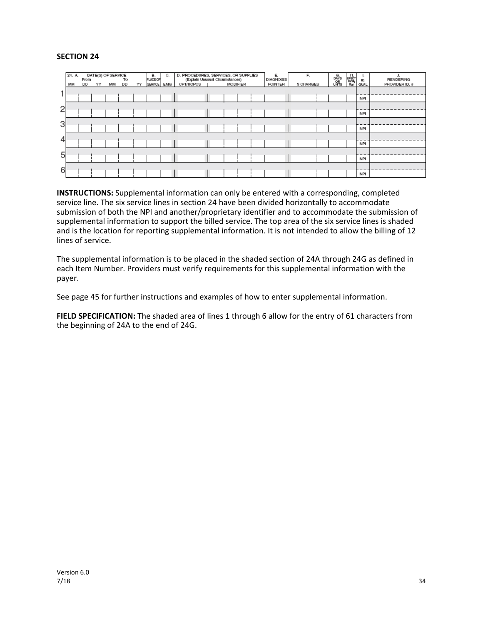#### **SECTION 24**

|   | 24. A<br>MM | From<br>DD | YY | DATE(S) OF SERVICE<br>MМ | To<br>DD | YY | в.<br>PLACE OF<br><b>SERVICE</b> | C.<br><b>EMG</b> | D. PROCEDURES, SERVICES, OR SUPPLIES<br>(Explain Unusual Circumstances)<br>CPT/HCPCS | <b>MODIFIER</b> |  | E.<br><b>DIAGNOSIS</b><br><b>POINTER</b> | F.<br>\$ CHARGES | G.<br>DAYS<br>UNITS | 동맹<br>Panay<br>Ran | ъ.<br>ID.<br>QUAL. | J.<br><b>RENDERING</b><br>PROVIDER ID. # |
|---|-------------|------------|----|--------------------------|----------|----|----------------------------------|------------------|--------------------------------------------------------------------------------------|-----------------|--|------------------------------------------|------------------|---------------------|--------------------|--------------------|------------------------------------------|
|   |             |            |    |                          |          |    |                                  |                  |                                                                                      |                 |  |                                          |                  |                     |                    | <b>NPI</b>         |                                          |
| 2 |             |            |    |                          |          |    |                                  |                  |                                                                                      |                 |  |                                          |                  |                     |                    | <b>NPI</b>         |                                          |
| 3 |             |            |    |                          |          |    |                                  |                  |                                                                                      |                 |  |                                          |                  |                     |                    | <b>NPI</b>         |                                          |
| 4 |             |            |    |                          |          |    |                                  |                  |                                                                                      |                 |  |                                          |                  |                     |                    | <b>NPI</b>         |                                          |
| 5 |             |            |    |                          |          |    |                                  |                  |                                                                                      |                 |  |                                          |                  |                     |                    | <b>NPI</b>         |                                          |
| 6 |             |            |    |                          |          |    |                                  |                  |                                                                                      |                 |  |                                          |                  |                     |                    | <b>NPI</b>         |                                          |

**INSTRUCTIONS:** Supplemental information can only be entered with a corresponding, completed service line. The six service lines in section 24 have been divided horizontally to accommodate submission of both the NPI and another/proprietary identifier and to accommodate the submission of supplemental information to support the billed service. The top area of the six service lines is shaded and is the location for reporting supplemental information. It is not intended to allow the billing of 12 lines of service.

The supplemental information is to be placed in the shaded section of 24A through 24G as defined in each Item Number. Providers must verify requirements for this supplemental information with the payer.

See page 45 for further instructions and examples of how to enter supplemental information.

**FIELD SPECIFICATION:** The shaded area of lines 1 through 6 allow for the entry of 61 characters from the beginning of 24A to the end of 24G.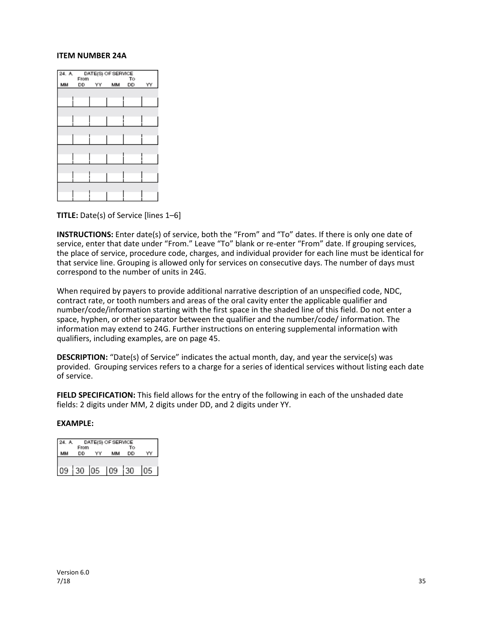#### **ITEM NUMBER 24A**



**TITLE:** Date(s) of Service [lines 1–6]

**INSTRUCTIONS:** Enter date(s) of service, both the "From" and "To" dates. If there is only one date of service, enter that date under "From." Leave "To" blank or re-enter "From" date. If grouping services, the place of service, procedure code, charges, and individual provider for each line must be identical for that service line. Grouping is allowed only for services on consecutive days. The number of days must correspond to the number of units in 24G.

When required by payers to provide additional narrative description of an unspecified code, NDC, contract rate, or tooth numbers and areas of the oral cavity enter the applicable qualifier and number/code/information starting with the first space in the shaded line of this field. Do not enter a space, hyphen, or other separator between the qualifier and the number/code/ information. The information may extend to 24G. Further instructions on entering supplemental information with qualifiers, including examples, are on page 45.

**DESCRIPTION:** "Date(s) of Service" indicates the actual month, day, and year the service(s) was provided. Grouping services refers to a charge for a series of identical services without listing each date of service.

**FIELD SPECIFICATION:** This field allows for the entry of the following in each of the unshaded date fields: 2 digits under MM, 2 digits under DD, and 2 digits under YY.

| 24. A |            | DATE(S) OF SERVICE |          |  |
|-------|------------|--------------------|----------|--|
|       | From<br>DD | MM                 | Тο<br>DD |  |
|       |            |                    |          |  |
| 09    | 30 05      | 09                 | 30       |  |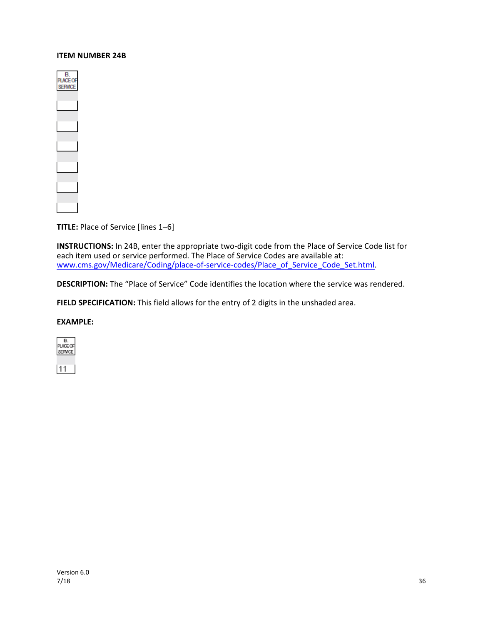#### **ITEM NUMBER 24B**



**TITLE:** Place of Service [lines 1–6]

**INSTRUCTIONS:** In 24B, enter the appropriate two-digit code from the Place of Service Code list for each item used or service performed. The Place of Service Codes are available at: [www.cms.gov/Medicare/Coding/place-of-service-codes/Place\\_of\\_Service\\_Code\\_Set.html.](http://www.cms.gov/Medicare/Coding/place-of-service-codes/Place_of_Service_Code_Set.html)

**DESCRIPTION:** The "Place of Service" Code identifies the location where the service was rendered.

FIELD SPECIFICATION: This field allows for the entry of 2 digits in the unshaded area.

#### **EXAMPLE:**



11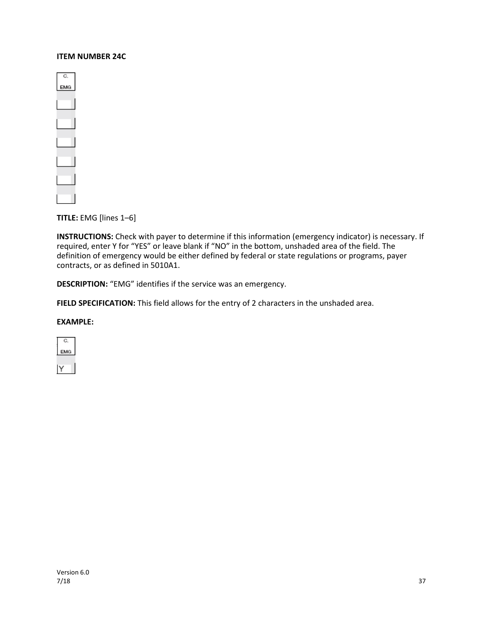#### **ITEM NUMBER 24C**

| U.<br>MG |  |
|----------|--|
|          |  |
| $\sim$   |  |
|          |  |
|          |  |
|          |  |
|          |  |
|          |  |
| ri i     |  |
|          |  |
|          |  |

**TITLE:** EMG [lines 1–6]

**INSTRUCTIONS:** Check with payer to determine if this information (emergency indicator) is necessary. If required, enter Y for "YES" or leave blank if "NO" in the bottom, unshaded area of the field. The definition of emergency would be either defined by federal or state regulations or programs, payer contracts, or as defined in 5010A1.

**DESCRIPTION:** "EMG" identifies if the service was an emergency.

**FIELD SPECIFICATION:** This field allows for the entry of 2 characters in the unshaded area.

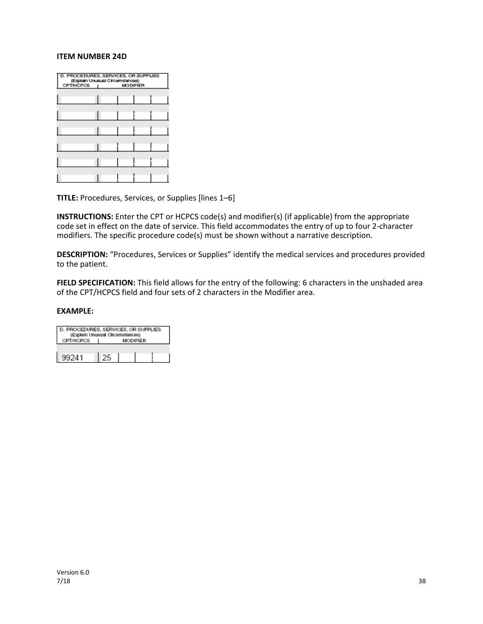#### **ITEM NUMBER 24D**

| сртінсься | D. PROCEDURES, SERVICES, OR SUPPLIES<br>(Explain Unusual Circumstances)<br><b>MODIFIER</b> |
|-----------|--------------------------------------------------------------------------------------------|
|           |                                                                                            |
|           |                                                                                            |
|           |                                                                                            |
|           |                                                                                            |
|           |                                                                                            |
|           |                                                                                            |

**TITLE:** Procedures, Services, or Supplies [lines 1–6]

**INSTRUCTIONS:** Enter the CPT or HCPCS code(s) and modifier(s) (if applicable) from the appropriate code set in effect on the date of service. This field accommodates the entry of up to four 2-character modifiers. The specific procedure code(s) must be shown without a narrative description.

**DESCRIPTION:** "Procedures, Services or Supplies" identify the medical services and procedures provided to the patient.

**FIELD SPECIFICATION:** This field allows for the entry of the following: 6 characters in the unshaded area of the CPT/HCPCS field and four sets of 2 characters in the Modifier area.

| D. PROCEDURES, SERVICES, OR SUPPLIES<br>(Explain Unusual Circumstances) |                 |  |  |  |  |  |  |  |
|-------------------------------------------------------------------------|-----------------|--|--|--|--|--|--|--|
| CPT/HCPCS                                                               | <b>MODIFIER</b> |  |  |  |  |  |  |  |
|                                                                         |                 |  |  |  |  |  |  |  |
| 99241                                                                   |                 |  |  |  |  |  |  |  |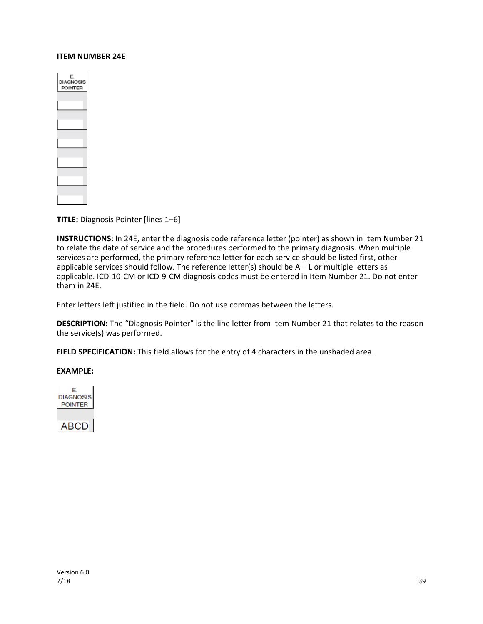#### **ITEM NUMBER 24E**

| E.<br>DIAGNOSIS<br>POINTER |  |
|----------------------------|--|
|                            |  |
|                            |  |
|                            |  |
|                            |  |
|                            |  |
|                            |  |

**TITLE:** Diagnosis Pointer [lines 1–6]

**INSTRUCTIONS:** In 24E, enter the diagnosis code reference letter (pointer) as shown in Item Number 21 to relate the date of service and the procedures performed to the primary diagnosis. When multiple services are performed, the primary reference letter for each service should be listed first, other applicable services should follow. The reference letter(s) should be  $A - L$  or multiple letters as applicable. ICD-10-CM or ICD-9-CM diagnosis codes must be entered in Item Number 21. Do not enter them in 24E.

Enter letters left justified in the field. Do not use commas between the letters.

**DESCRIPTION:** The "Diagnosis Pointer" is the line letter from Item Number 21 that relates to the reason the service(s) was performed.

**FIELD SPECIFICATION:** This field allows for the entry of 4 characters in the unshaded area.

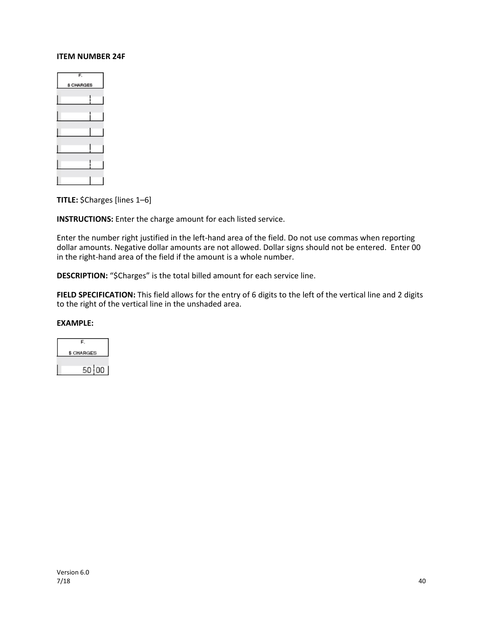#### **ITEM NUMBER 24F**

| F.        |
|-----------|
| S CHARGES |
|           |
|           |
|           |
|           |
|           |
|           |

**TITLE:** \$Charges [lines 1–6]

**INSTRUCTIONS:** Enter the charge amount for each listed service.

Enter the number right justified in the left-hand area of the field. Do not use commas when reporting dollar amounts. Negative dollar amounts are not allowed. Dollar signs should not be entered. Enter 00 in the right-hand area of the field if the amount is a whole number.

**DESCRIPTION:** "\$Charges" is the total billed amount for each service line.

**FIELD SPECIFICATION:** This field allows for the entry of 6 digits to the left of the vertical line and 2 digits to the right of the vertical line in the unshaded area.

| F.         |
|------------|
| \$ CHARGES |
|            |
| 50 I 00    |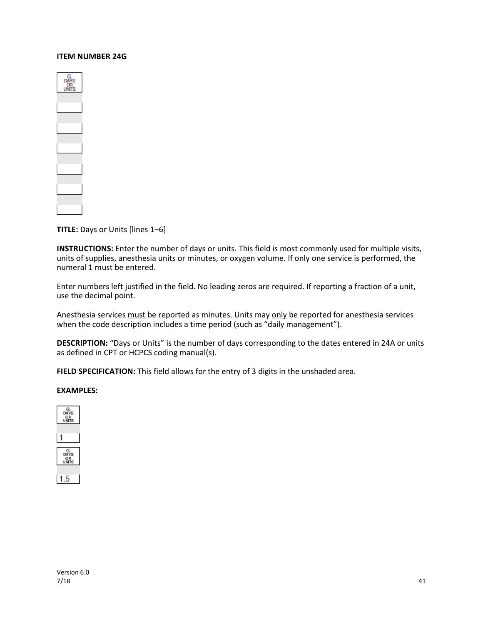#### **ITEM NUMBER 24G**



**TITLE:** Days or Units [lines 1–6]

**INSTRUCTIONS:** Enter the number of days or units. This field is most commonly used for multiple visits, units of supplies, anesthesia units or minutes, or oxygen volume. If only one service is performed, the numeral 1 must be entered.

Enter numbers left justified in the field. No leading zeros are required. If reporting a fraction of a unit, use the decimal point.

Anesthesia services must be reported as minutes. Units may only be reported for anesthesia services when the code description includes a time period (such as "daily management").

**DESCRIPTION:** "Days or Units" is the number of days corresponding to the dates entered in 24A or units as defined in CPT or HCPCS coding manual(s).

FIELD SPECIFICATION: This field allows for the entry of 3 digits in the unshaded area.

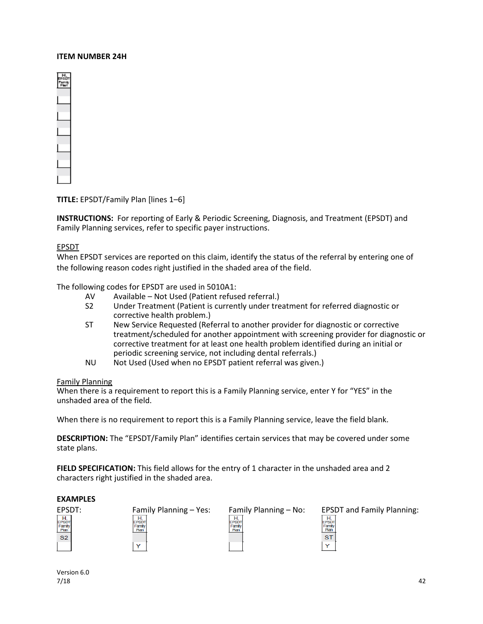#### **ITEM NUMBER 24H**



**TITLE:** EPSDT/Family Plan [lines 1–6]

**INSTRUCTIONS:** For reporting of Early & Periodic Screening, Diagnosis, and Treatment (EPSDT) and Family Planning services, refer to specific payer instructions.

#### EPSDT

When EPSDT services are reported on this claim, identify the status of the referral by entering one of the following reason codes right justified in the shaded area of the field.

The following codes for EPSDT are used in 5010A1:

- AV Available Not Used (Patient refused referral.)
- S2 Under Treatment (Patient is currently under treatment for referred diagnostic or corrective health problem.)
- ST New Service Requested (Referral to another provider for diagnostic or corrective treatment/scheduled for another appointment with screening provider for diagnostic or corrective treatment for at least one health problem identified during an initial or periodic screening service, not including dental referrals.)
- NU Not Used (Used when no EPSDT patient referral was given.)

#### Family Planning

When there is a requirement to report this is a Family Planning service, enter Y for "YES" in the unshaded area of the field.

When there is no requirement to report this is a Family Planning service, leave the field blank.

**DESCRIPTION:** The "EPSDT/Family Plan" identifies certain services that may be covered under some state plans.

**FIELD SPECIFICATION:** This field allows for the entry of 1 character in the unshaded area and 2 characters right justified in the shaded area.

#### **EXAMPLES**

 ${\sf S2}$ 



| Family Planning – N |  |  |  |
|---------------------|--|--|--|
| <del>.</del>        |  |  |  |

| а |
|---|
|   |
|   |

Version 6.0 7/18 42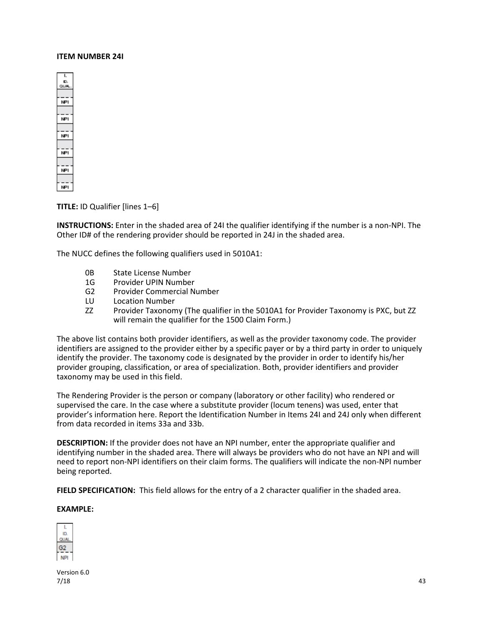#### **ITEM NUMBER 24I**



**TITLE:** ID Qualifier [lines 1–6]

**INSTRUCTIONS:** Enter in the shaded area of 24I the qualifier identifying if the number is a non-NPI. The Other ID# of the rendering provider should be reported in 24J in the shaded area.

The NUCC defines the following qualifiers used in 5010A1:

- 0B State License Number
- 1G Provider UPIN Number
- G2 Provider Commercial Number
- LU Location Number
- ZZ Provider Taxonomy (The qualifier in the 5010A1 for Provider Taxonomy is PXC, but ZZ will remain the qualifier for the 1500 Claim Form.)

The above list contains both provider identifiers, as well as the provider taxonomy code. The provider identifiers are assigned to the provider either by a specific payer or by a third party in order to uniquely identify the provider. The taxonomy code is designated by the provider in order to identify his/her provider grouping, classification, or area of specialization. Both, provider identifiers and provider taxonomy may be used in this field.

The Rendering Provider is the person or company (laboratory or other facility) who rendered or supervised the care. In the case where a substitute provider (locum tenens) was used, enter that provider's information here. Report the Identification Number in Items 24I and 24J only when different from data recorded in items 33a and 33b.

**DESCRIPTION:** If the provider does not have an NPI number, enter the appropriate qualifier and identifying number in the shaded area. There will always be providers who do not have an NPI and will need to report non-NPI identifiers on their claim forms. The qualifiers will indicate the non-NPI number being reported.

**FIELD SPECIFICATION:** This field allows for the entry of a 2 character qualifier in the shaded area.

#### **EXAMPLE:**



Version 6.0  $7/18$  and  $43$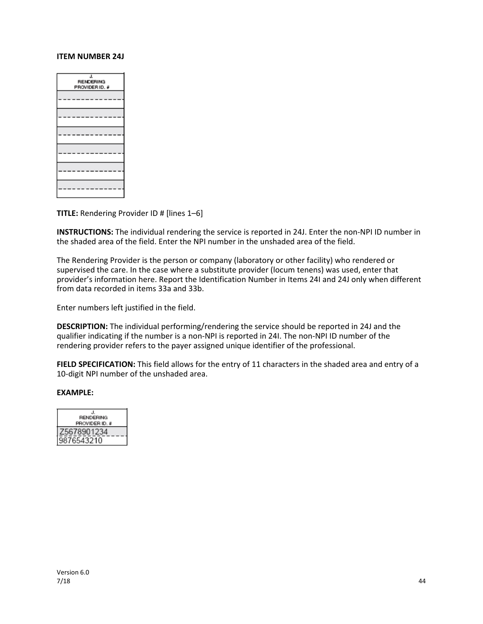#### **ITEM NUMBER 24J**

| J<br><b>RENDERING</b><br>PROVIDER ID. # |
|-----------------------------------------|
|                                         |
|                                         |
|                                         |
|                                         |
|                                         |
|                                         |

**TITLE:** Rendering Provider ID # [lines 1–6]

**INSTRUCTIONS:** The individual rendering the service is reported in 24J. Enter the non-NPI ID number in the shaded area of the field. Enter the NPI number in the unshaded area of the field.

The Rendering Provider is the person or company (laboratory or other facility) who rendered or supervised the care. In the case where a substitute provider (locum tenens) was used, enter that provider's information here. Report the Identification Number in Items 24I and 24J only when different from data recorded in items 33a and 33b.

Enter numbers left justified in the field.

**DESCRIPTION:** The individual performing/rendering the service should be reported in 24J and the qualifier indicating if the number is a non-NPI is reported in 24I. The non-NPI ID number of the rendering provider refers to the payer assigned unique identifier of the professional.

**FIELD SPECIFICATION:** This field allows for the entry of 11 characters in the shaded area and entry of a 10-digit NPI number of the unshaded area.

| <b>RENDERING</b> |
|------------------|
| PROVIDER ID. #   |
|                  |
|                  |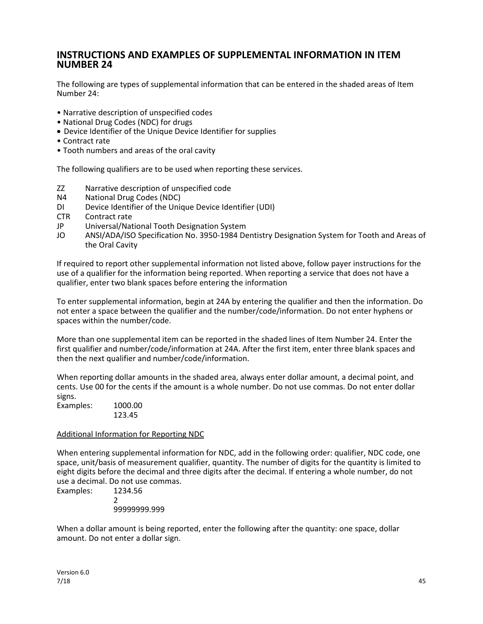### **INSTRUCTIONS AND EXAMPLES OF SUPPLEMENTAL INFORMATION IN ITEM NUMBER 24**

The following are types of supplemental information that can be entered in the shaded areas of Item Number 24:

- Narrative description of unspecified codes
- National Drug Codes (NDC) for drugs
- Device Identifier of the Unique Device Identifier for supplies
- Contract rate
- Tooth numbers and areas of the oral cavity

The following qualifiers are to be used when reporting these services.

- ZZ Narrative description of unspecified code
- N4 National Drug Codes (NDC)
- DI Device Identifier of the Unique Device Identifier (UDI)
- CTR Contract rate
- JP Universal/National Tooth Designation System
- JO ANSI/ADA/ISO Specification No. 3950-1984 Dentistry Designation System for Tooth and Areas of the Oral Cavity

If required to report other supplemental information not listed above, follow payer instructions for the use of a qualifier for the information being reported. When reporting a service that does not have a qualifier, enter two blank spaces before entering the information

To enter supplemental information, begin at 24A by entering the qualifier and then the information. Do not enter a space between the qualifier and the number/code/information. Do not enter hyphens or spaces within the number/code.

More than one supplemental item can be reported in the shaded lines of Item Number 24. Enter the first qualifier and number/code/information at 24A. After the first item, enter three blank spaces and then the next qualifier and number/code/information.

When reporting dollar amounts in the shaded area, always enter dollar amount, a decimal point, and cents. Use 00 for the cents if the amount is a whole number. Do not use commas. Do not enter dollar signs.

Examples: 1000.00 123.45

#### Additional Information for Reporting NDC

When entering supplemental information for NDC, add in the following order: qualifier, NDC code, one space, unit/basis of measurement qualifier, quantity. The number of digits for the quantity is limited to eight digits before the decimal and three digits after the decimal. If entering a whole number, do not use a decimal. Do not use commas.

Examples: 1234.56 2 99999999.999

When a dollar amount is being reported, enter the following after the quantity: one space, dollar amount. Do not enter a dollar sign.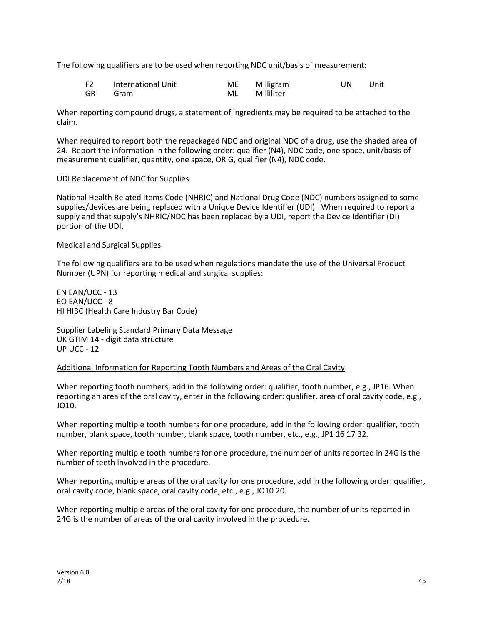The following qualifiers are to be used when reporting NDC unit/basis of measurement:

| F <sub>2</sub> | International Unit | ME | Milligram  | UN | Unit |
|----------------|--------------------|----|------------|----|------|
| GR             | Gram               | ML | Milliliter |    |      |

When reporting compound drugs, a statement of ingredients may be required to be attached to the claim.

When required to report both the repackaged NDC and original NDC of a drug, use the shaded area of 24. Report the information in the following order: qualifier (N4), NDC code, one space, unit/basis of measurement qualifier, quantity, one space, ORIG, qualifier (N4), NDC code.

#### UDI Replacement of NDC for Supplies

National Health Related Items Code (NHRIC) and National Drug Code (NDC) numbers assigned to some supplies/devices are being replaced with a Unique Device Identifier (UDI). When required to report a supply and that supply's NHRIC/NDC has been replaced by a UDI, report the Device Identifier (DI) portion of the UDI.

#### Medical and Surgical Supplies

The following qualifiers are to be used when regulations mandate the use of the Universal Product Number (UPN) for reporting medical and surgical supplies:

EN EAN/UCC - 13 EO EAN/UCC - 8 HI HIBC (Health Care Industry Bar Code)

Supplier Labeling Standard Primary Data Message UK GTIM 14 - digit data structure UP UCC - 12

#### Additional Information for Reporting Tooth Numbers and Areas of the Oral Cavity

When reporting tooth numbers, add in the following order: qualifier, tooth number, e.g., JP16. When reporting an area of the oral cavity, enter in the following order: qualifier, area of oral cavity code, e.g., JO10.

When reporting multiple tooth numbers for one procedure, add in the following order: qualifier, tooth number, blank space, tooth number, blank space, tooth number, etc., e.g., JP1 16 17 32.

When reporting multiple tooth numbers for one procedure, the number of units reported in 24G is the number of teeth involved in the procedure.

When reporting multiple areas of the oral cavity for one procedure, add in the following order: qualifier, oral cavity code, blank space, oral cavity code, etc., e.g., JO10 20.

When reporting multiple areas of the oral cavity for one procedure, the number of units reported in 24G is the number of areas of the oral cavity involved in the procedure.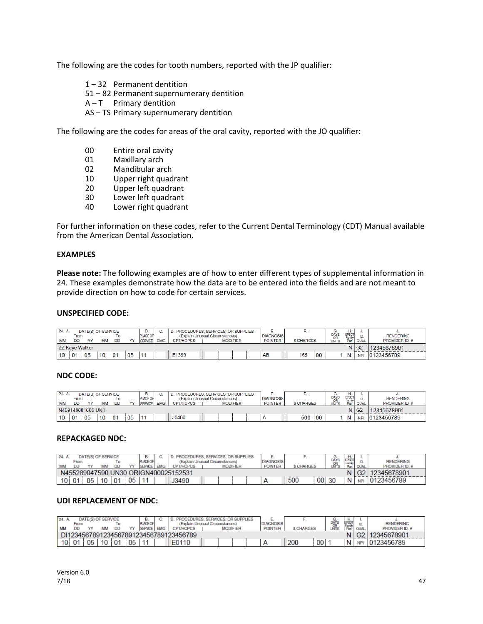The following are the codes for tooth numbers, reported with the JP qualifier:

- 1 32 Permanent dentition
- 51 82 Permanent supernumerary dentition
- $A T$  Primary dentition
- AS TS Primary supernumerary dentition

The following are the codes for areas of the oral cavity, reported with the JO qualifier:

- 00 Entire oral cavity
- 01 Maxillary arch<br>02 Mandibular ard
- Mandibular arch
- 10 Upper right quadrant
- 20 Upper left quadrant
- 30 Lower left quadrant
- 40 Lower right quadrant

For further information on these codes, refer to the Current Dental Terminology (CDT) Manual available from the American Dental Association.

#### **EXAMPLES**

**Please note:** The following examples are of how to enter different types of supplemental information in 24. These examples demonstrate how the data are to be entered into the fields and are not meant to provide direction on how to code for certain services.

#### **UNSPECIFIED CODE:**

| 24. A.    | From                  | DATE(S) OF SERVICE |    | То        |    | В.<br>PLACE OF |            | PROCEDURES, SERVICES, OR SUPPLIES<br>(Explain Unusual Circumstances) |  |                 |  | <br><b>DIAGNOSIS</b> |                   |    | G.<br>DAYS<br>OR   | н.<br>EPSD<br>Family |            | <b>RENDERING</b> |
|-----------|-----------------------|--------------------|----|-----------|----|----------------|------------|----------------------------------------------------------------------|--|-----------------|--|----------------------|-------------------|----|--------------------|----------------------|------------|------------------|
| <b>MM</b> | <b>DD</b>             |                    | MM | <b>DD</b> | w  | SERVICE.       | <b>EMG</b> | <b>CPT/HCPCS</b>                                                     |  | <b>MODIFIER</b> |  | <b>POINTER</b>       | <b>\$ CHARGES</b> |    | <b>UNITS</b>       | Plan                 | QUAL.      | PROVIDER ID. #   |
|           | <b>ZZ Kave Walker</b> |                    |    |           |    |                |            |                                                                      |  |                 |  |                      |                   |    | $N$ G <sub>2</sub> | 12345678901          |            |                  |
| 10        | 01                    | 05                 | 10 | 101       | 05 |                |            | E1399                                                                |  |                 |  | AB                   | 165               | 00 |                    | $\overline{N}$       | <b>NPI</b> | 0123456789       |

#### **NDC CODE:**

| 24. A.    | From | DATE(S) OF SERVICE |    | ١o        |    | В.<br>PLACE OF |            | PROCEDURES, SERVICES, OR SUPPLIES                                      |  |  |  |  | . .<br><b>DIAGNOSIS</b> |                  |     | G.                  | H.<br>EPSDT    |            | <b>RENDERING</b> |
|-----------|------|--------------------|----|-----------|----|----------------|------------|------------------------------------------------------------------------|--|--|--|--|-------------------------|------------------|-----|---------------------|----------------|------------|------------------|
| <b>MM</b> | DD   |                    | ΜM | <b>DD</b> |    | <b>SERVICE</b> | <b>EMG</b> | (Explain Unusual Circumstances)<br><b>CPT/HCPCS</b><br><b>MODIFIER</b> |  |  |  |  | <b>POINTER</b>          | <b>S CHARGES</b> |     | DAYS<br>OR<br>UNITS | Family<br>Plan | QUAL.      | PROVIDER ID. #   |
|           |      | N459148001665 UN1  |    |           |    |                |            |                                                                        |  |  |  |  |                         |                  |     | $N$ G <sub>2</sub>  | 12345678901    |            |                  |
| 10        | 01   | '05                | 10 | i 01      | 05 |                |            | J0400                                                                  |  |  |  |  |                         | 500              | 100 |                     | $\mathsf{N}$   | <b>NPI</b> | 0123456789       |

#### **REPACKAGED NDC:**

| 24. |           |                                      |    | DATE(S) OF SERVICE |                |    | В.              |  | PROCEDURES, SERVICES, OR SUPPLIES |  |                 |  |                  |                  |      | DAYS               | п.                     |            |                       |
|-----|-----------|--------------------------------------|----|--------------------|----------------|----|-----------------|--|-----------------------------------|--|-----------------|--|------------------|------------------|------|--------------------|------------------------|------------|-----------------------|
|     |           | From                                 |    |                    | Ιo             |    | <b>PLACE OF</b> |  | (Explain Unusual Circumstances)   |  |                 |  | <b>DIAGNOSIS</b> |                  |      |                    | <b>IPSDT</b><br>Family |            | <b>RENDERING</b>      |
|     | <b>MM</b> | DD                                   |    | MМ                 | <b>DD</b>      | vv | SERVICE EMG     |  | <b>CPT/HCPCS</b>                  |  | <b>MODIFIER</b> |  | <b>POINTER</b>   | <b>S CHARGES</b> |      | <b>OR</b><br>UNITS | Plan                   | QUAL       | <b>PROVIDER ID. #</b> |
|     |           | N455289047590 UN30 ORIGN400025152531 |    |                    |                |    |                 |  |                                   |  |                 |  |                  |                  |      |                    |                        | G2         | 12345678901           |
|     | 10101     |                                      | 05 | 10                 | 0 <sup>1</sup> | 05 |                 |  | J3490                             |  |                 |  | A                | 500              | 00 l | -30                | N                      | <b>NPI</b> | 0123456789            |

#### **UDI REPLACEMENT OF NDC:**

| 24. A |                                        |    | DATE(S) OF SERVICE |                |    | В.              |  | PROCEDURES, SERVICES, OR SUPPLIES |  |                 |  |                  |                  |    |                     | п.                      |                |                       |
|-------|----------------------------------------|----|--------------------|----------------|----|-----------------|--|-----------------------------------|--|-----------------|--|------------------|------------------|----|---------------------|-------------------------|----------------|-----------------------|
|       | From                                   |    |                    |                |    | <b>PLACE OF</b> |  | (Explain Unusual Circumstances)   |  |                 |  | <b>DIAGNOSIS</b> |                  |    | DAYS<br>OH<br>UNITS | <b>CERSIT</b><br>Family |                | <b>RENDERING</b>      |
| МM    | DD                                     |    | MN                 | <b>DD</b>      |    | SERVICE EMG     |  | <b>CPT/HCPCS</b>                  |  | <b>MODIFIER</b> |  | <b>POINTER</b>   | <b>S CHARGES</b> |    |                     | nan                     | QUAL           | <b>PROVIDER ID. #</b> |
|       | DI123456789123456789123456789123456789 |    |                    |                |    |                 |  |                                   |  |                 |  |                  |                  |    |                     |                         | G <sub>2</sub> | 12345678901           |
| 10 i  | 01                                     | 05 | 10                 | 0 <sup>1</sup> | 05 |                 |  | E0110                             |  |                 |  | А                | 200              | 00 |                     |                         | <b>NPI</b>     | 0123456789            |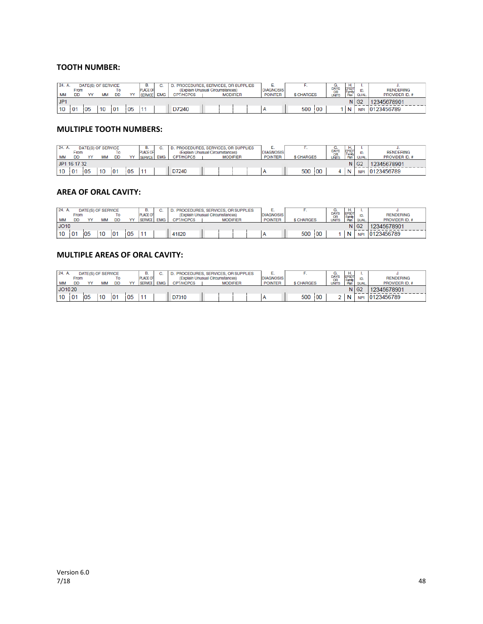#### **TOOTH NUMBER:**

| 24. A.    |                |    | DATE(S) OF SERVICE |           |    | В.              |            | PROCEDURES, SERVICES, OR SUPPLIES |  |                 |  |  |                |                   |    | u.                  | н.              |                    |                  |
|-----------|----------------|----|--------------------|-----------|----|-----------------|------------|-----------------------------------|--|-----------------|--|--|----------------|-------------------|----|---------------------|-----------------|--------------------|------------------|
|           | From           |    |                    |           |    | <b>PLACE OF</b> |            | (Explain Unusual Circumstances)   |  |                 |  |  | DIAGNOSIS,     |                   |    | DAYS<br>OR<br>UNITS | EPSDT<br>Family |                    | <b>RENDERING</b> |
| <b>MM</b> | DD             |    | MM                 | <b>DD</b> | vv | <b>SERVICE</b>  | <b>EMG</b> | <b>CPT/HCPCS</b>                  |  | <b>MODIFIER</b> |  |  | <b>POINTER</b> | <b>\$ CHARGES</b> |    |                     | Plan            | QUAL.              | PROVIDER ID. #   |
| JPI       |                |    |                    |           |    |                 |            |                                   |  |                 |  |  |                |                   |    |                     |                 | $N$ G <sub>2</sub> | 12345678901      |
| 10        | 0 <sup>1</sup> | 05 |                    | i 01      | 05 |                 |            | D7240                             |  |                 |  |  |                | 500               | 00 |                     | N               | <b>NPI</b>         | 0123456789       |

#### **MULTIPLE TOOTH NUMBERS:**

| 24. A.    |                   | DATE(S) OF SERVICE |    |          |    | В.                                |            | PROCEDURES, SERVICES, OR SUPPLIES                                      |  |  |  |  | <b>DIAGNOSIS</b> |                  |    | G.                  | Η.<br><b>EPSDT</b> |            |                                    |
|-----------|-------------------|--------------------|----|----------|----|-----------------------------------|------------|------------------------------------------------------------------------|--|--|--|--|------------------|------------------|----|---------------------|--------------------|------------|------------------------------------|
| <b>MM</b> | From<br><b>DD</b> |                    | MN | ۱о<br>DD |    | <b>PLACE OF</b><br><b>SERVICE</b> | <b>EMG</b> | (Explain Unusual Circumstances)<br><b>CPT/HCPCS</b><br><b>MODIFIER</b> |  |  |  |  | <b>POINTER</b>   | <b>S CHARGES</b> |    | DAYS<br>OR<br>UNITS | Family<br>Plan     | QUAL.      | <b>RENDERING</b><br>PROVIDER ID. # |
|           | JP1 16 17 32      |                    |    |          |    |                                   |            |                                                                        |  |  |  |  |                  |                  |    | $N$ $G2$            | 12345678901        |            |                                    |
| 10        | 01                | '05                | 10 | 101      | 05 |                                   |            | D7240                                                                  |  |  |  |  |                  | 500              | 00 |                     | N                  | <b>NPI</b> | 0123456789                         |

#### **AREA OF ORAL CAVITY:**

| 24. A. |                 | DATE(S) OF SERVICE |     |    |    | В.              |            | PROCEDURES, SERVICES, OR SUPPLIES |  |  |  |  |                  |            |     | G.           | н.                     |                    |                  |
|--------|-----------------|--------------------|-----|----|----|-----------------|------------|-----------------------------------|--|--|--|--|------------------|------------|-----|--------------|------------------------|--------------------|------------------|
|        | <b>From</b>     |                    |     | То |    | <b>PLACE OF</b> |            | (Explain Unusual Circumstances)   |  |  |  |  | <b>DIAGNOSIS</b> |            |     | DAYS<br>OR   | <b>EPSDT</b><br>Family |                    | <b>RENDERING</b> |
| MM     | DD              |                    | MAN | DD |    | <b>SERVICE</b>  | <b>EMG</b> | <b>CPT/HCPCS</b>                  |  |  |  |  | <b>POINTER</b>   | \$ CHARGES |     | <b>UNITS</b> | Plan                   | QUAL.              | PROVIDER ID. #   |
| JO10   | <b>MODIFIER</b> |                    |     |    |    |                 |            |                                   |  |  |  |  |                  |            |     |              |                        | $N$ G <sub>2</sub> | 12345678901      |
| 10     | 0٠ ا            | 05                 | 10  | 01 | 05 |                 |            | 41820                             |  |  |  |  |                  | 500        | :00 |              | N                      | <b>NPI</b>         | 0123456789       |

#### **MULTIPLE AREAS OF ORAL CAVITY:**

| 24. A.  |             |    | DATE(S) OF SERVICE |           |    | в.              |            | PROCEDURES, SERVICES, OR SUPPLIES |                 |  |                    |             |    | G.                  | Н.                     |           |                  |
|---------|-------------|----|--------------------|-----------|----|-----------------|------------|-----------------------------------|-----------------|--|--------------------|-------------|----|---------------------|------------------------|-----------|------------------|
|         | <b>From</b> |    |                    | то        |    | <b>PLACE OF</b> |            | (Explain Unusual Circumstances)   |                 |  | <b>DIAGNOSIS</b>   |             |    | DAYS<br>OR<br>UNITS | <b>EPSDT</b><br>Family |           | <b>RENDERING</b> |
| MM      | DD          |    | MN                 | <b>DD</b> | w  | <b>SERVICE</b>  | <b>EMG</b> | <b>CPT/HCPCS</b>                  | <b>MODIFIER</b> |  | <b>POINTER</b>     | \$ CHARGES  |    |                     | Plan                   | QUAL.     | PROVIDER ID. #   |
| JO10 20 |             |    |                    |           |    |                 |            |                                   |                 |  | $N$ G <sub>2</sub> | 12345678901 |    |                     |                        |           |                  |
| 10      | 0           | 05 |                    | 0         | 05 |                 |            | D7310                             |                 |  |                    | 500         | 00 |                     | N                      | <b>NP</b> | 0123456789       |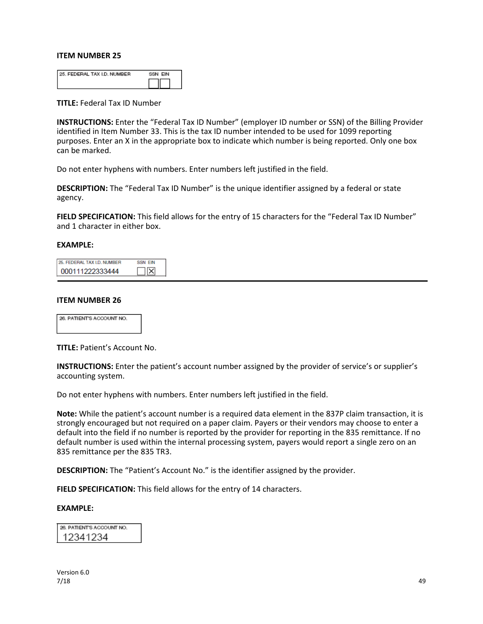| <b>25. FEDERAL TAX I.D. NUMBER</b> | SSN FIN |
|------------------------------------|---------|
|                                    |         |

**TITLE:** Federal Tax ID Number

**INSTRUCTIONS:** Enter the "Federal Tax ID Number" (employer ID number or SSN) of the Billing Provider identified in Item Number 33. This is the tax ID number intended to be used for 1099 reporting purposes. Enter an X in the appropriate box to indicate which number is being reported. Only one box can be marked.

Do not enter hyphens with numbers. Enter numbers left justified in the field.

**DESCRIPTION:** The "Federal Tax ID Number" is the unique identifier assigned by a federal or state agency.

**FIELD SPECIFICATION:** This field allows for the entry of 15 characters for the "Federal Tax ID Number" and 1 character in either box.

#### **EXAMPLE:**

| 25. FEDERAL TAX I.D. NUMBER | SSN FIN |
|-----------------------------|---------|
| 000111222333444             |         |

#### **ITEM NUMBER 26**



**TITLE:** Patient's Account No.

**INSTRUCTIONS:** Enter the patient's account number assigned by the provider of service's or supplier's accounting system.

Do not enter hyphens with numbers. Enter numbers left justified in the field.

**Note:** While the patient's account number is a required data element in the 837P claim transaction, it is strongly encouraged but not required on a paper claim. Payers or their vendors may choose to enter a default into the field if no number is reported by the provider for reporting in the 835 remittance. If no default number is used within the internal processing system, payers would report a single zero on an 835 remittance per the 835 TR3.

**DESCRIPTION:** The "Patient's Account No." is the identifier assigned by the provider.

**FIELD SPECIFICATION:** This field allows for the entry of 14 characters.

#### **EXAMPLE:**

26. PATIENT'S ACCOUNT NO. 12341234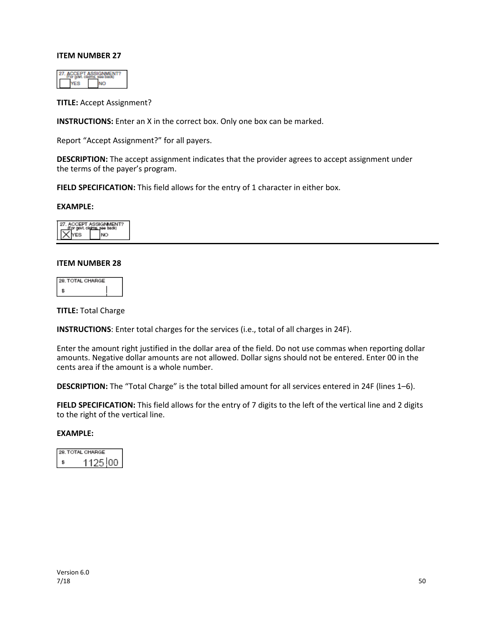**TITLE:** Accept Assignment?

**INSTRUCTIONS:** Enter an X in the correct box. Only one box can be marked.

Report "Accept Assignment?" for all payers.

**DESCRIPTION:** The accept assignment indicates that the provider agrees to accept assignment under the terms of the payer's program.

FIELD SPECIFICATION: This field allows for the entry of 1 character in either box.

#### **EXAMPLE:**

#### **ITEM NUMBER 28**

| 28. TOTAL CHARGE |  |
|------------------|--|
|                  |  |

**TITLE:** Total Charge

**INSTRUCTIONS**: Enter total charges for the services (i.e., total of all charges in 24F).

Enter the amount right justified in the dollar area of the field. Do not use commas when reporting dollar amounts. Negative dollar amounts are not allowed. Dollar signs should not be entered. Enter 00 in the cents area if the amount is a whole number.

**DESCRIPTION:** The "Total Charge" is the total billed amount for all services entered in 24F (lines 1–6).

**FIELD SPECIFICATION:** This field allows for the entry of 7 digits to the left of the vertical line and 2 digits to the right of the vertical line.

| 28. TOTAL CHARGE |
|------------------|
| 125100           |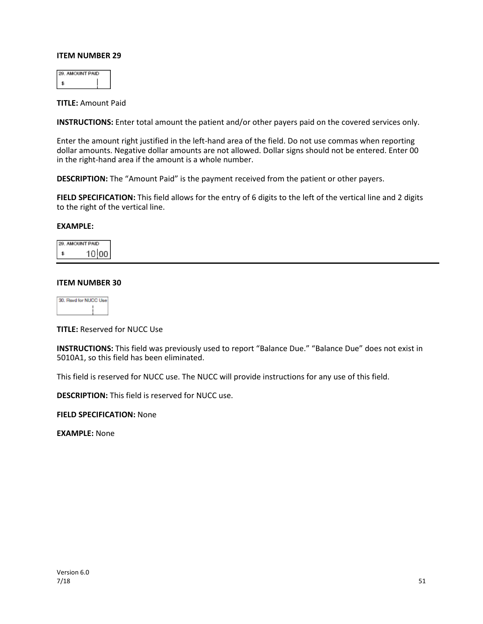| <b>NINT PAID</b> |  |
|------------------|--|
|                  |  |

**TITLE:** Amount Paid

**INSTRUCTIONS:** Enter total amount the patient and/or other payers paid on the covered services only.

Enter the amount right justified in the left-hand area of the field. Do not use commas when reporting dollar amounts. Negative dollar amounts are not allowed. Dollar signs should not be entered. Enter 00 in the right-hand area if the amount is a whole number.

**DESCRIPTION:** The "Amount Paid" is the payment received from the patient or other payers.

**FIELD SPECIFICATION:** This field allows for the entry of 6 digits to the left of the vertical line and 2 digits to the right of the vertical line.

#### **EXAMPLE:**

| <b>JOUNT PAID</b> |
|-------------------|
| 10 00             |

#### **ITEM NUMBER 30**

| <b>Ifor NB</b> | an di |
|----------------|-------|
|                |       |
|                |       |
|                |       |

**TITLE:** Reserved for NUCC Use

**INSTRUCTIONS:** This field was previously used to report "Balance Due." "Balance Due" does not exist in 5010A1, so this field has been eliminated.

This field is reserved for NUCC use. The NUCC will provide instructions for any use of this field.

**DESCRIPTION:** This field is reserved for NUCC use.

**FIELD SPECIFICATION:** None

**EXAMPLE:** None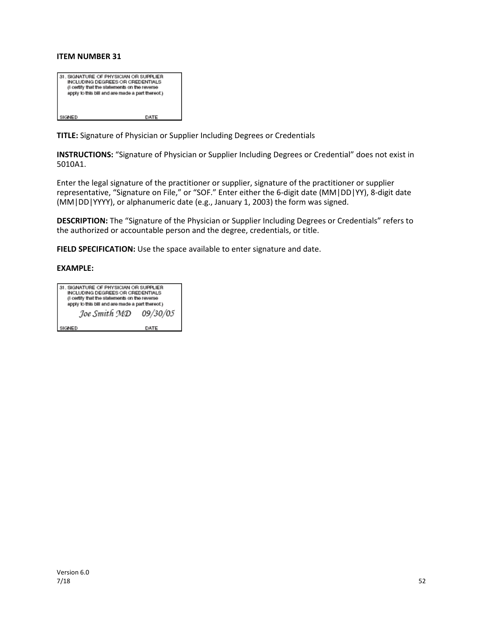| 31. SIGNATURE OF PHYSICIAN OR SUPPLIER<br>INCLUDING DEGREES OR CREDENTIALS<br>(I certify that the statements on the reverse<br>apply to this bill and are made a part thereof.) |      |
|---------------------------------------------------------------------------------------------------------------------------------------------------------------------------------|------|
| SIGNED                                                                                                                                                                          | DATE |

**TITLE:** Signature of Physician or Supplier Including Degrees or Credentials

**INSTRUCTIONS:** "Signature of Physician or Supplier Including Degrees or Credential" does not exist in 5010A1.

Enter the legal signature of the practitioner or supplier, signature of the practitioner or supplier representative, "Signature on File," or "SOF." Enter either the 6-digit date (MM|DD|YY), 8-digit date (MM|DD|YYYY), or alphanumeric date (e.g., January 1, 2003) the form was signed.

**DESCRIPTION:** The "Signature of the Physician or Supplier Including Degrees or Credentials" refers to the authorized or accountable person and the degree, credentials, or title.

**FIELD SPECIFICATION:** Use the space available to enter signature and date.

| 31. SIGNATURE OF PHYSICIAN OR SUPPLIER<br>INCLUDING DEGREES OR CREDENTIALS<br>(I certify that the statements on the reverse |          |  |  |  |  |
|-----------------------------------------------------------------------------------------------------------------------------|----------|--|--|--|--|
| apply to this bill and are made a part thereof.)                                                                            |          |  |  |  |  |
| Joe Smith MD                                                                                                                | 09/30/05 |  |  |  |  |
| SIGNED                                                                                                                      | DATE     |  |  |  |  |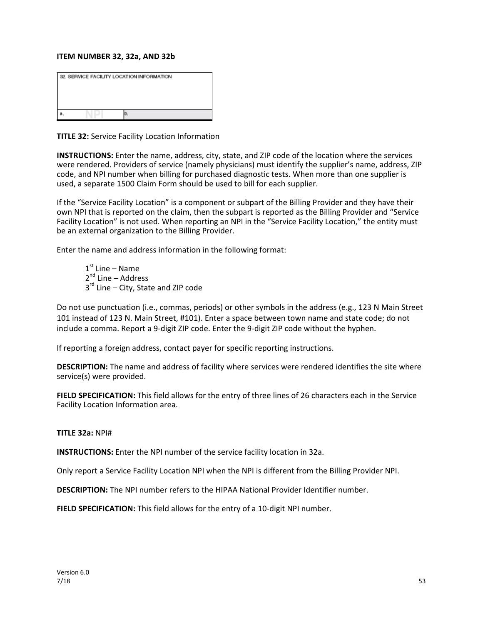#### **ITEM NUMBER 32, 32a, AND 32b**

| 32. SERVICE FACILITY LOCATION INFORMATION |  |  |  |  |
|-------------------------------------------|--|--|--|--|
|                                           |  |  |  |  |
|                                           |  |  |  |  |
|                                           |  |  |  |  |
|                                           |  |  |  |  |

**TITLE 32:** Service Facility Location Information

**INSTRUCTIONS:** Enter the name, address, city, state, and ZIP code of the location where the services were rendered. Providers of service (namely physicians) must identify the supplier's name, address, ZIP code, and NPI number when billing for purchased diagnostic tests. When more than one supplier is used, a separate 1500 Claim Form should be used to bill for each supplier.

If the "Service Facility Location" is a component or subpart of the Billing Provider and they have their own NPI that is reported on the claim, then the subpart is reported as the Billing Provider and "Service Facility Location" is not used. When reporting an NPI in the "Service Facility Location," the entity must be an external organization to the Billing Provider.

Enter the name and address information in the following format:

 $1<sup>st</sup>$  Line – Name  $2^{nd}$  Line – Address 3<sup>rd</sup> Line – City, State and ZIP code

Do not use punctuation (i.e., commas, periods) or other symbols in the address (e.g., 123 N Main Street 101 instead of 123 N. Main Street, #101). Enter a space between town name and state code; do not include a comma. Report a 9-digit ZIP code. Enter the 9-digit ZIP code without the hyphen.

If reporting a foreign address, contact payer for specific reporting instructions.

**DESCRIPTION:** The name and address of facility where services were rendered identifies the site where service(s) were provided.

**FIELD SPECIFICATION:** This field allows for the entry of three lines of 26 characters each in the Service Facility Location Information area.

**TITLE 32a:** NPI#

**INSTRUCTIONS:** Enter the NPI number of the service facility location in 32a.

Only report a Service Facility Location NPI when the NPI is different from the Billing Provider NPI.

**DESCRIPTION:** The NPI number refers to the HIPAA National Provider Identifier number.

**FIELD SPECIFICATION:** This field allows for the entry of a 10-digit NPI number.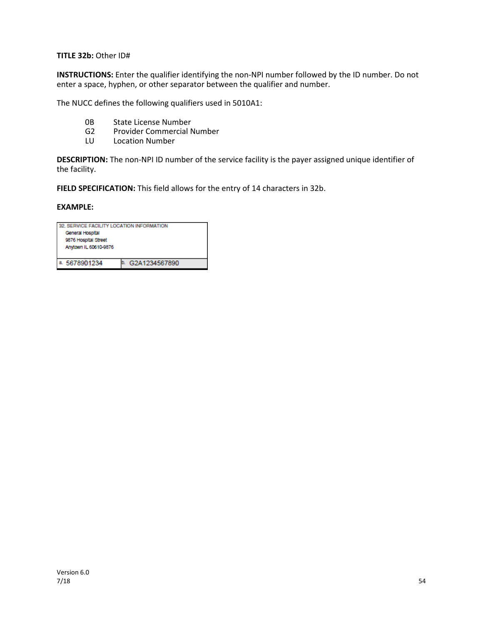**TITLE 32b:** Other ID#

**INSTRUCTIONS:** Enter the qualifier identifying the non-NPI number followed by the ID number. Do not enter a space, hyphen, or other separator between the qualifier and number.

The NUCC defines the following qualifiers used in 5010A1:

- 0B State License Number
- G2 Provider Commercial Number<br>LU Location Number
- Location Number

**DESCRIPTION:** The non-NPI ID number of the service facility is the payer assigned unique identifier of the facility.

**FIELD SPECIFICATION:** This field allows for the entry of 14 characters in 32b.

| 32. SERVICE FACILITY LOCATION INFORMATION |               |  |  |  |
|-------------------------------------------|---------------|--|--|--|
| General Hospital                          |               |  |  |  |
| 9876 Hospital Street                      |               |  |  |  |
| Anytown IL 60610-9876                     |               |  |  |  |
|                                           |               |  |  |  |
| a. 5678901234                             | G2A1234567890 |  |  |  |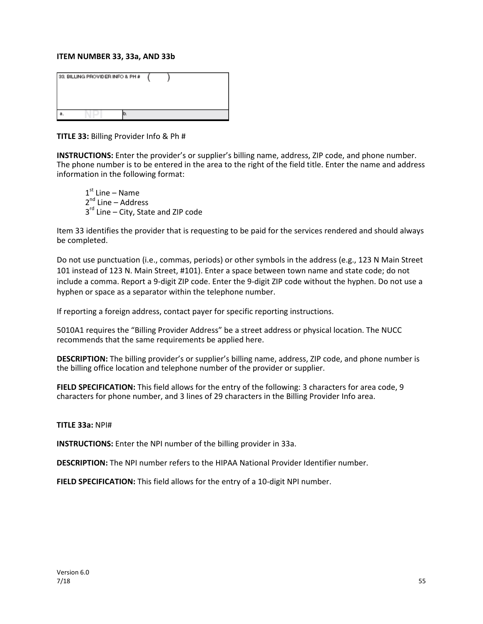#### **ITEM NUMBER 33, 33a, AND 33b**

| 33. BILLING PROVIDER INFO & PH # |  |
|----------------------------------|--|
|                                  |  |

**TITLE 33:** Billing Provider Info & Ph #

**INSTRUCTIONS:** Enter the provider's or supplier's billing name, address, ZIP code, and phone number. The phone number is to be entered in the area to the right of the field title. Enter the name and address information in the following format:

 $1<sup>st</sup>$  Line – Name  $2^{nd}$  Line – Address  $3<sup>rd</sup>$  Line – City, State and ZIP code

Item 33 identifies the provider that is requesting to be paid for the services rendered and should always be completed.

Do not use punctuation (i.e., commas, periods) or other symbols in the address (e.g., 123 N Main Street 101 instead of 123 N. Main Street, #101). Enter a space between town name and state code; do not include a comma. Report a 9-digit ZIP code. Enter the 9-digit ZIP code without the hyphen. Do not use a hyphen or space as a separator within the telephone number.

If reporting a foreign address, contact payer for specific reporting instructions.

5010A1 requires the "Billing Provider Address" be a street address or physical location. The NUCC recommends that the same requirements be applied here.

**DESCRIPTION:** The billing provider's or supplier's billing name, address, ZIP code, and phone number is the billing office location and telephone number of the provider or supplier.

**FIELD SPECIFICATION:** This field allows for the entry of the following: 3 characters for area code, 9 characters for phone number, and 3 lines of 29 characters in the Billing Provider Info area.

#### **TITLE 33a:** NPI#

**INSTRUCTIONS:** Enter the NPI number of the billing provider in 33a.

**DESCRIPTION:** The NPI number refers to the HIPAA National Provider Identifier number.

**FIELD SPECIFICATION:** This field allows for the entry of a 10-digit NPI number.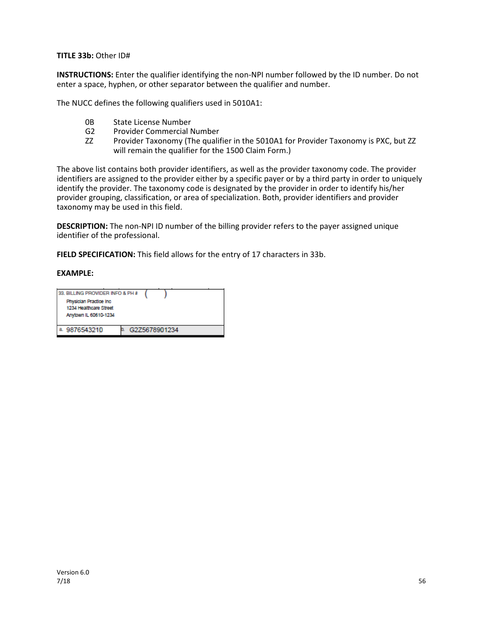**TITLE 33b:** Other ID#

**INSTRUCTIONS:** Enter the qualifier identifying the non-NPI number followed by the ID number. Do not enter a space, hyphen, or other separator between the qualifier and number.

The NUCC defines the following qualifiers used in 5010A1:

- 0B State License Number
- G2 Provider Commercial Number
- ZZ Provider Taxonomy (The qualifier in the 5010A1 for Provider Taxonomy is PXC, but ZZ will remain the qualifier for the 1500 Claim Form.)

The above list contains both provider identifiers, as well as the provider taxonomy code. The provider identifiers are assigned to the provider either by a specific payer or by a third party in order to uniquely identify the provider. The taxonomy code is designated by the provider in order to identify his/her provider grouping, classification, or area of specialization. Both, provider identifiers and provider taxonomy may be used in this field.

**DESCRIPTION:** The non-NPI ID number of the billing provider refers to the payer assigned unique identifier of the professional.

**FIELD SPECIFICATION:** This field allows for the entry of 17 characters in 33b.

| 33. BILLING PROVIDER INFO & PH #<br>Physician Practice Inc.<br>1234 Healthcare Street<br>Anytown IL 60610-1234 |  |               |  |  |
|----------------------------------------------------------------------------------------------------------------|--|---------------|--|--|
| 9876543210                                                                                                     |  | G2Z5678901234 |  |  |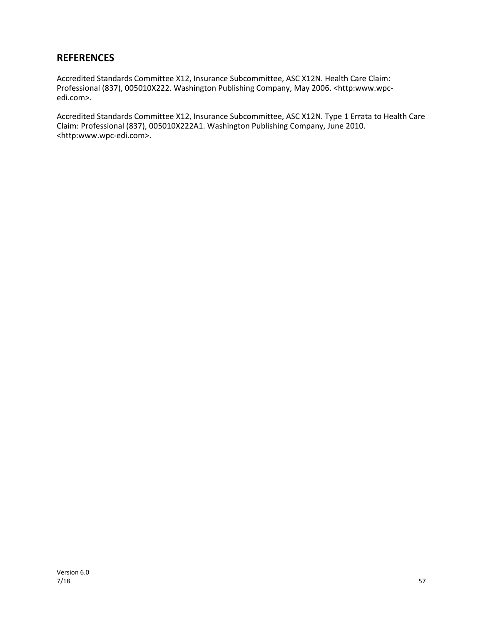## **REFERENCES**

Accredited Standards Committee X12, Insurance Subcommittee, ASC X12N. Health Care Claim: Professional (837), 005010X222. Washington Publishing Company, May 2006. <http:www.wpcedi.com>.

Accredited Standards Committee X12, Insurance Subcommittee, ASC X12N. Type 1 Errata to Health Care Claim: Professional (837), 005010X222A1. Washington Publishing Company, June 2010. <http:www.wpc-edi.com>.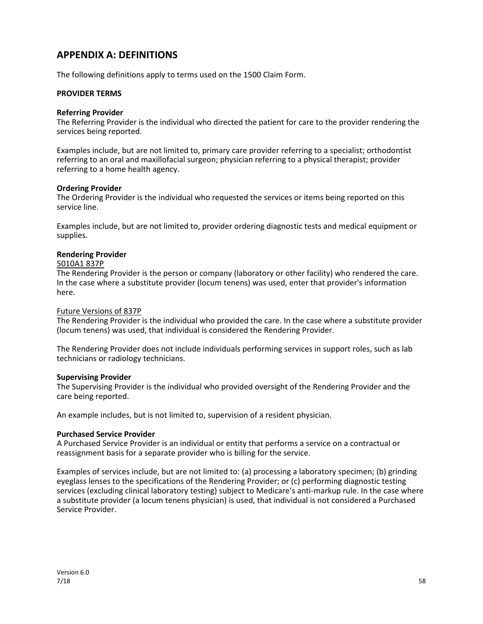## **APPENDIX A: DEFINITIONS**

The following definitions apply to terms used on the 1500 Claim Form.

#### **PROVIDER TERMS**

#### **Referring Provider**

The Referring Provider is the individual who directed the patient for care to the provider rendering the services being reported.

Examples include, but are not limited to, primary care provider referring to a specialist; orthodontist referring to an oral and maxillofacial surgeon; physician referring to a physical therapist; provider referring to a home health agency.

#### **Ordering Provider**

The Ordering Provider is the individual who requested the services or items being reported on this service line.

Examples include, but are not limited to, provider ordering diagnostic tests and medical equipment or supplies.

#### **Rendering Provider**

#### 5010A1 837P

The Rendering Provider is the person or company (laboratory or other facility) who rendered the care. In the case where a substitute provider (locum tenens) was used, enter that provider's information here.

#### Future Versions of 837P

The Rendering Provider is the individual who provided the care. In the case where a substitute provider (locum tenens) was used, that individual is considered the Rendering Provider.

The Rendering Provider does not include individuals performing services in support roles, such as lab technicians or radiology technicians.

#### **Supervising Provider**

The Supervising Provider is the individual who provided oversight of the Rendering Provider and the care being reported.

An example includes, but is not limited to, supervision of a resident physician.

#### **Purchased Service Provider**

A Purchased Service Provider is an individual or entity that performs a service on a contractual or reassignment basis for a separate provider who is billing for the service.

Examples of services include, but are not limited to: (a) processing a laboratory specimen; (b) grinding eyeglass lenses to the specifications of the Rendering Provider; or (c) performing diagnostic testing services (excluding clinical laboratory testing) subject to Medicare's anti-markup rule. In the case where a substitute provider (a locum tenens physician) is used, that individual is not considered a Purchased Service Provider.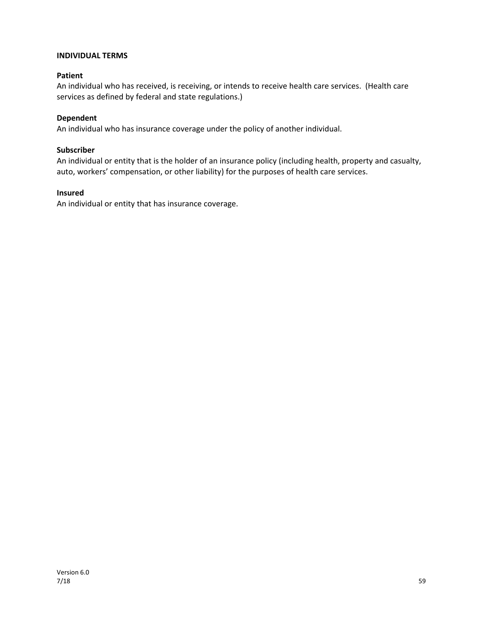#### **INDIVIDUAL TERMS**

#### **Patient**

An individual who has received, is receiving, or intends to receive health care services. (Health care services as defined by federal and state regulations.)

#### **Dependent**

An individual who has insurance coverage under the policy of another individual.

#### **Subscriber**

An individual or entity that is the holder of an insurance policy (including health, property and casualty, auto, workers' compensation, or other liability) for the purposes of health care services.

#### **Insured**

An individual or entity that has insurance coverage.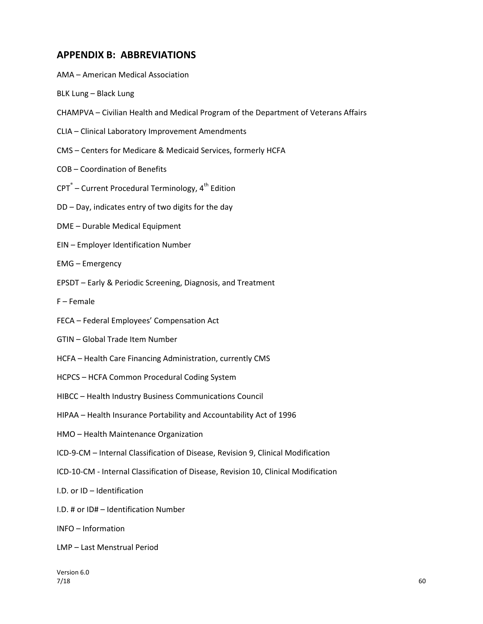## **APPENDIX B: ABBREVIATIONS**

- AMA American Medical Association
- BLK Lung Black Lung
- CHAMPVA Civilian Health and Medical Program of the Department of Veterans Affairs
- CLIA Clinical Laboratory Improvement Amendments
- CMS Centers for Medicare & Medicaid Services, formerly HCFA
- COB Coordination of Benefits
- $CPT^*$  Current Procedural Terminology,  $4<sup>th</sup>$  Edition
- DD Day, indicates entry of two digits for the day
- DME Durable Medical Equipment
- EIN Employer Identification Number
- EMG Emergency
- EPSDT Early & Periodic Screening, Diagnosis, and Treatment
- F Female
- FECA Federal Employees' Compensation Act
- GTIN Global Trade Item Number
- HCFA Health Care Financing Administration, currently CMS
- HCPCS HCFA Common Procedural Coding System
- HIBCC Health Industry Business Communications Council
- HIPAA Health Insurance Portability and Accountability Act of 1996
- HMO Health Maintenance Organization
- ICD-9-CM Internal Classification of Disease, Revision 9, Clinical Modification
- ICD-10-CM Internal Classification of Disease, Revision 10, Clinical Modification
- I.D. or ID Identification
- I.D. # or ID# Identification Number
- INFO Information
- LMP Last Menstrual Period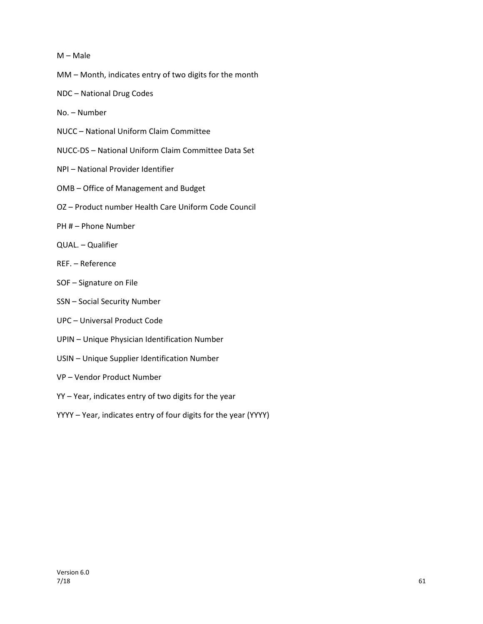#### M – Male

- MM Month, indicates entry of two digits for the month
- NDC National Drug Codes
- No. Number
- NUCC National Uniform Claim Committee
- NUCC-DS National Uniform Claim Committee Data Set
- NPI National Provider Identifier
- OMB Office of Management and Budget
- OZ Product number Health Care Uniform Code Council
- PH # Phone Number
- QUAL. Qualifier
- REF. Reference
- SOF Signature on File
- SSN Social Security Number
- UPC Universal Product Code
- UPIN Unique Physician Identification Number
- USIN Unique Supplier Identification Number
- VP Vendor Product Number
- YY Year, indicates entry of two digits for the year
- YYYY Year, indicates entry of four digits for the year (YYYY)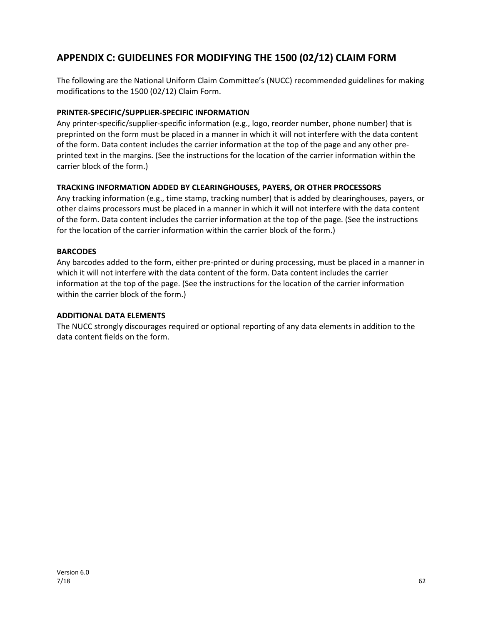## **APPENDIX C: GUIDELINES FOR MODIFYING THE 1500 (02/12) CLAIM FORM**

The following are the National Uniform Claim Committee's (NUCC) recommended guidelines for making modifications to the 1500 (02/12) Claim Form.

#### **PRINTER-SPECIFIC/SUPPLIER-SPECIFIC INFORMATION**

Any printer-specific/supplier-specific information (e.g., logo, reorder number, phone number) that is preprinted on the form must be placed in a manner in which it will not interfere with the data content of the form. Data content includes the carrier information at the top of the page and any other preprinted text in the margins. (See the instructions for the location of the carrier information within the carrier block of the form.)

#### **TRACKING INFORMATION ADDED BY CLEARINGHOUSES, PAYERS, OR OTHER PROCESSORS**

Any tracking information (e.g., time stamp, tracking number) that is added by clearinghouses, payers, or other claims processors must be placed in a manner in which it will not interfere with the data content of the form. Data content includes the carrier information at the top of the page. (See the instructions for the location of the carrier information within the carrier block of the form.)

#### **BARCODES**

Any barcodes added to the form, either pre-printed or during processing, must be placed in a manner in which it will not interfere with the data content of the form. Data content includes the carrier information at the top of the page. (See the instructions for the location of the carrier information within the carrier block of the form.)

#### **ADDITIONAL DATA ELEMENTS**

The NUCC strongly discourages required or optional reporting of any data elements in addition to the data content fields on the form.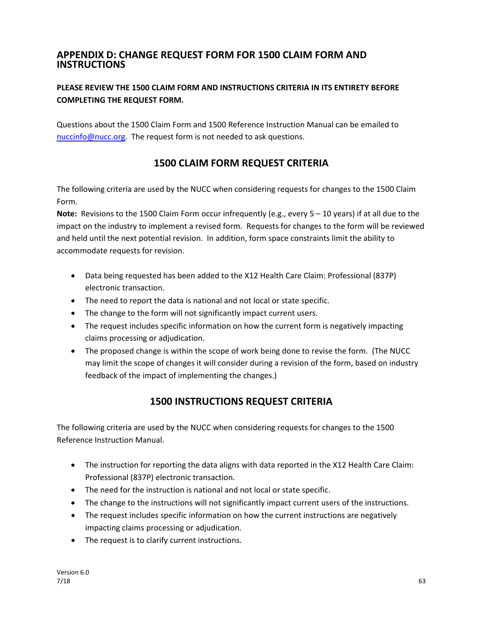## **APPENDIX D: CHANGE REQUEST FORM FOR 1500 CLAIM FORM AND INSTRUCTIONS**

## **PLEASE REVIEW THE 1500 CLAIM FORM AND INSTRUCTIONS CRITERIA IN ITS ENTIRETY BEFORE COMPLETING THE REQUEST FORM.**

Questions about the 1500 Claim Form and 1500 Reference Instruction Manual can be emailed to [nuccinfo@nucc.org.](mailto:nuccinfo@nucc.org) The request form is not needed to ask questions.

## **1500 CLAIM FORM REQUEST CRITERIA**

The following criteria are used by the NUCC when considering requests for changes to the 1500 Claim Form.

**Note:** Revisions to the 1500 Claim Form occur infrequently (e.g., every 5 – 10 years) if at all due to the impact on the industry to implement a revised form. Requests for changes to the form will be reviewed and held until the next potential revision. In addition, form space constraints limit the ability to accommodate requests for revision.

- Data being requested has been added to the X12 Health Care Claim: Professional (837P) electronic transaction.
- The need to report the data is national and not local or state specific.
- The change to the form will not significantly impact current users.
- The request includes specific information on how the current form is negatively impacting claims processing or adjudication.
- The proposed change is within the scope of work being done to revise the form. (The NUCC may limit the scope of changes it will consider during a revision of the form, based on industry feedback of the impact of implementing the changes.)

## **1500 INSTRUCTIONS REQUEST CRITERIA**

The following criteria are used by the NUCC when considering requests for changes to the 1500 Reference Instruction Manual.

- The instruction for reporting the data aligns with data reported in the X12 Health Care Claim: Professional (837P) electronic transaction.
- The need for the instruction is national and not local or state specific.
- The change to the instructions will not significantly impact current users of the instructions.
- The request includes specific information on how the current instructions are negatively impacting claims processing or adjudication.
- The request is to clarify current instructions.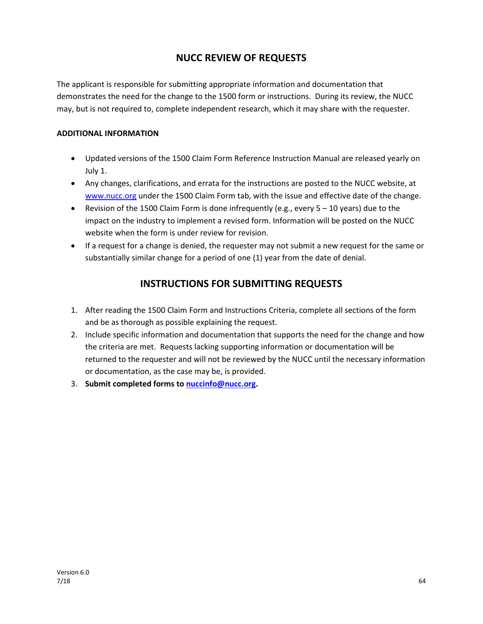## **NUCC REVIEW OF REQUESTS**

The applicant is responsible for submitting appropriate information and documentation that demonstrates the need for the change to the 1500 form or instructions. During its review, the NUCC may, but is not required to, complete independent research, which it may share with the requester.

#### **ADDITIONAL INFORMATION**

- Updated versions of the 1500 Claim Form Reference Instruction Manual are released yearly on July 1.
- Any changes, clarifications, and errata for the instructions are posted to the NUCC website, at [www.nucc.org](http://www.nucc.org/) under the 1500 Claim Form tab, with the issue and effective date of the change.
- Revision of the 1500 Claim Form is done infrequently (e.g., every  $5 10$  years) due to the impact on the industry to implement a revised form. Information will be posted on the NUCC website when the form is under review for revision.
- If a request for a change is denied, the requester may not submit a new request for the same or substantially similar change for a period of one (1) year from the date of denial.

## **INSTRUCTIONS FOR SUBMITTING REQUESTS**

- 1. After reading the 1500 Claim Form and Instructions Criteria, complete all sections of the form and be as thorough as possible explaining the request.
- 2. Include specific information and documentation that supports the need for the change and how the criteria are met. Requests lacking supporting information or documentation will be returned to the requester and will not be reviewed by the NUCC until the necessary information or documentation, as the case may be, is provided.
- 3. **Submit completed forms to [nuccinfo@nucc.org.](mailto:nuccinfo@nucc.org)**